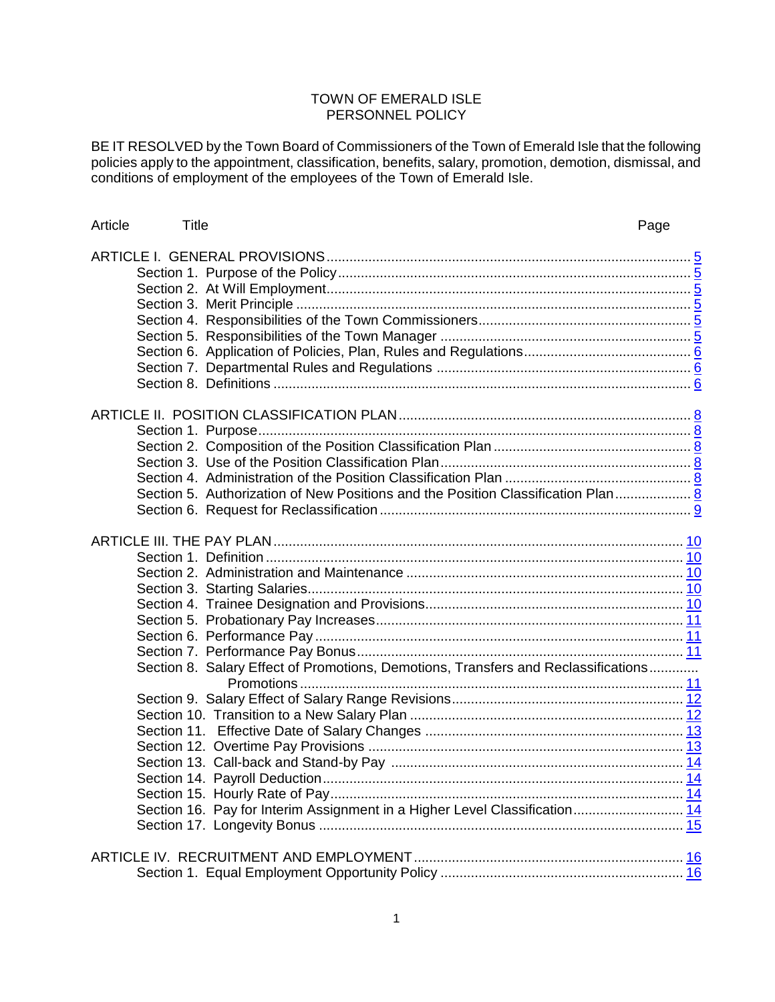## TOWN OF EMERALD ISLE PERSONNEL POLICY

BE IT RESOLVED by the Town Board of Commissioners of the Town of Emerald Isle that the following policies apply to the appointment, classification, benefits, salary, promotion, demotion, dismissal, and conditions of employment of the employees of the Town of Emerald Isle.

| Article | Title |                                                                                    | Page |
|---------|-------|------------------------------------------------------------------------------------|------|
|         |       |                                                                                    |      |
|         |       |                                                                                    |      |
|         |       |                                                                                    |      |
|         |       |                                                                                    |      |
|         |       |                                                                                    |      |
|         |       |                                                                                    |      |
|         |       |                                                                                    |      |
|         |       |                                                                                    |      |
|         |       |                                                                                    |      |
|         |       |                                                                                    |      |
|         |       |                                                                                    |      |
|         |       |                                                                                    |      |
|         |       |                                                                                    |      |
|         |       |                                                                                    |      |
|         |       | Section 5. Authorization of New Positions and the Position Classification Plan 8   |      |
|         |       |                                                                                    |      |
|         |       |                                                                                    |      |
|         |       |                                                                                    |      |
|         |       |                                                                                    |      |
|         |       |                                                                                    |      |
|         |       |                                                                                    |      |
|         |       |                                                                                    |      |
|         |       |                                                                                    |      |
|         |       |                                                                                    |      |
|         |       |                                                                                    |      |
|         |       | Section 8. Salary Effect of Promotions, Demotions, Transfers and Reclassifications |      |
|         |       |                                                                                    |      |
|         |       |                                                                                    |      |
|         |       |                                                                                    |      |
|         |       |                                                                                    |      |
|         |       |                                                                                    |      |
|         |       |                                                                                    |      |
|         |       |                                                                                    |      |
|         |       |                                                                                    |      |
|         |       | Section 16. Pay for Interim Assignment in a Higher Level Classification 14         |      |
|         |       |                                                                                    |      |
|         |       |                                                                                    |      |
|         |       |                                                                                    |      |
|         |       |                                                                                    |      |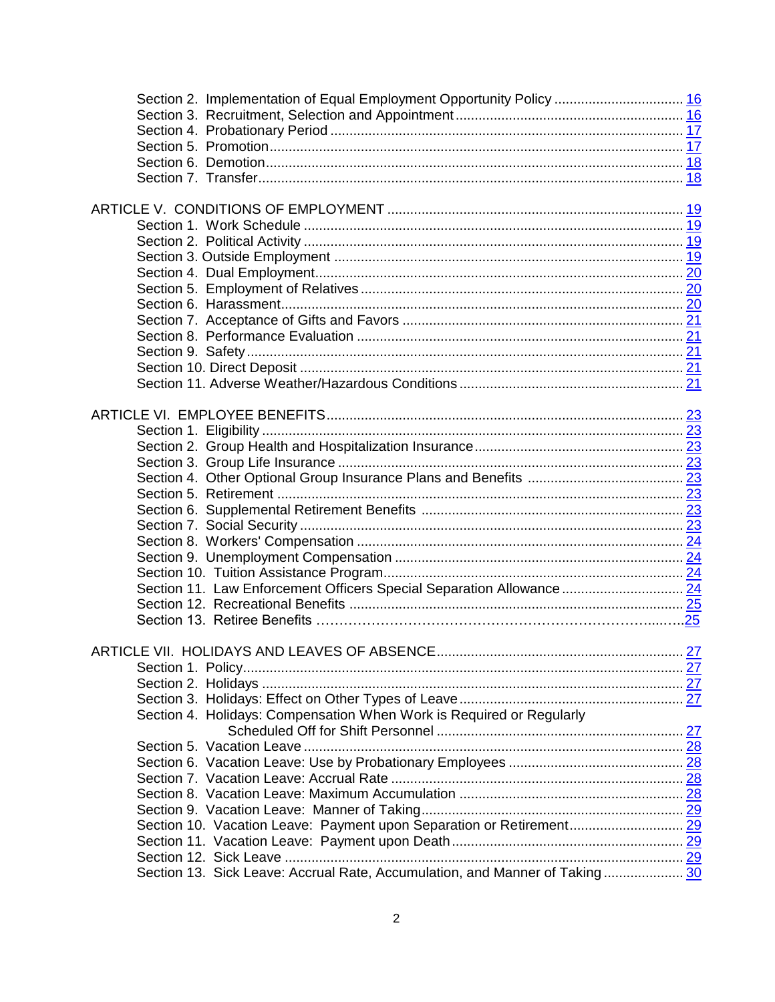| Section 2. Implementation of Equal Employment Opportunity Policy  16        |  |
|-----------------------------------------------------------------------------|--|
|                                                                             |  |
|                                                                             |  |
|                                                                             |  |
|                                                                             |  |
|                                                                             |  |
|                                                                             |  |
|                                                                             |  |
|                                                                             |  |
|                                                                             |  |
|                                                                             |  |
|                                                                             |  |
|                                                                             |  |
|                                                                             |  |
|                                                                             |  |
|                                                                             |  |
|                                                                             |  |
|                                                                             |  |
|                                                                             |  |
|                                                                             |  |
|                                                                             |  |
|                                                                             |  |
|                                                                             |  |
|                                                                             |  |
|                                                                             |  |
|                                                                             |  |
|                                                                             |  |
|                                                                             |  |
|                                                                             |  |
|                                                                             |  |
|                                                                             |  |
| Section 11. Law Enforcement Officers Special Separation Allowance  24       |  |
|                                                                             |  |
|                                                                             |  |
|                                                                             |  |
|                                                                             |  |
|                                                                             |  |
|                                                                             |  |
|                                                                             |  |
| Section 4. Holidays: Compensation When Work is Required or Regularly        |  |
|                                                                             |  |
|                                                                             |  |
|                                                                             |  |
|                                                                             |  |
|                                                                             |  |
|                                                                             |  |
|                                                                             |  |
|                                                                             |  |
|                                                                             |  |
| Section 13. Sick Leave: Accrual Rate, Accumulation, and Manner of Taking 30 |  |
|                                                                             |  |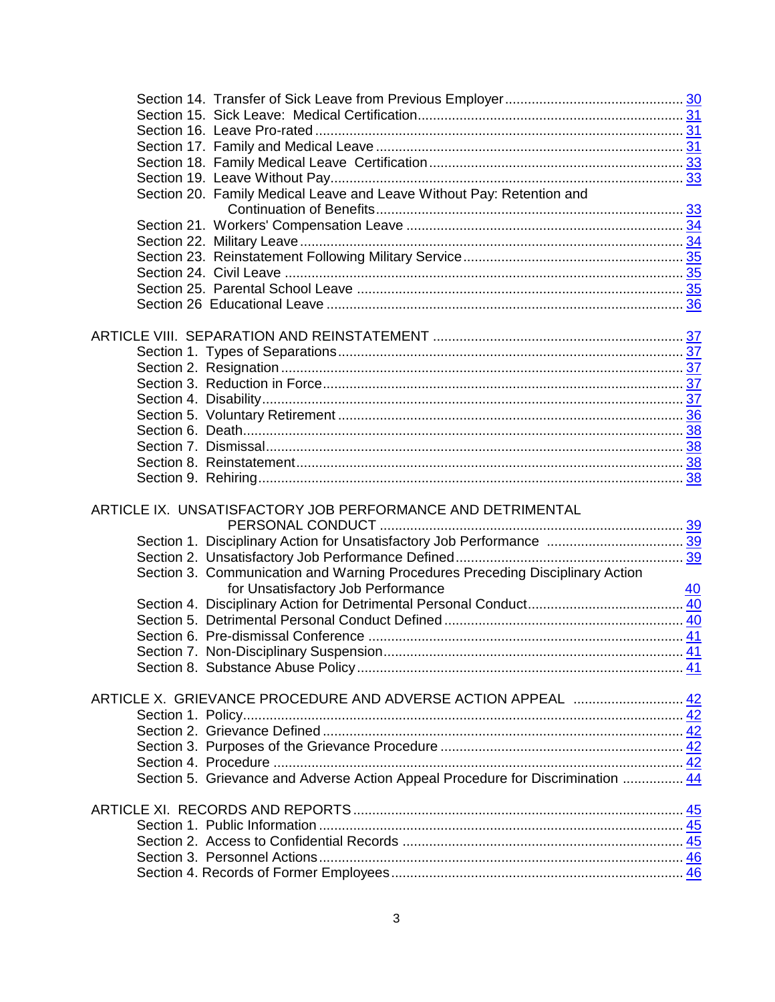| Section 20. Family Medical Leave and Leave Without Pay: Retention and           |  |
|---------------------------------------------------------------------------------|--|
|                                                                                 |  |
|                                                                                 |  |
|                                                                                 |  |
|                                                                                 |  |
|                                                                                 |  |
|                                                                                 |  |
|                                                                                 |  |
|                                                                                 |  |
|                                                                                 |  |
|                                                                                 |  |
|                                                                                 |  |
|                                                                                 |  |
|                                                                                 |  |
|                                                                                 |  |
|                                                                                 |  |
|                                                                                 |  |
|                                                                                 |  |
|                                                                                 |  |
|                                                                                 |  |
|                                                                                 |  |
| ARTICLE IX. UNSATISFACTORY JOB PERFORMANCE AND DETRIMENTAL                      |  |
|                                                                                 |  |
|                                                                                 |  |
|                                                                                 |  |
|                                                                                 |  |
| Section 3. Communication and Warning Procedures Preceding Disciplinary Action   |  |
|                                                                                 |  |
|                                                                                 |  |
|                                                                                 |  |
|                                                                                 |  |
|                                                                                 |  |
|                                                                                 |  |
|                                                                                 |  |
|                                                                                 |  |
|                                                                                 |  |
|                                                                                 |  |
|                                                                                 |  |
| Section 5. Grievance and Adverse Action Appeal Procedure for Discrimination  44 |  |
|                                                                                 |  |
|                                                                                 |  |
|                                                                                 |  |
|                                                                                 |  |
|                                                                                 |  |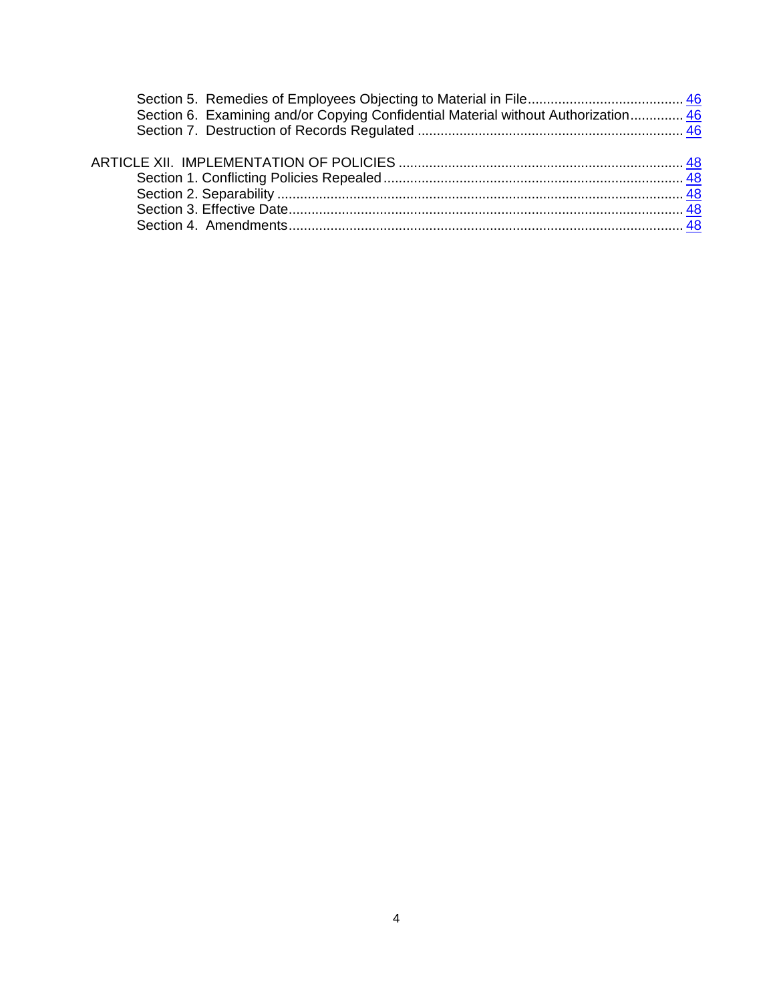| Section 6. Examining and/or Copying Confidential Material without Authorization 46 |  |
|------------------------------------------------------------------------------------|--|
|                                                                                    |  |
|                                                                                    |  |
|                                                                                    |  |
|                                                                                    |  |
|                                                                                    |  |
|                                                                                    |  |
|                                                                                    |  |
|                                                                                    |  |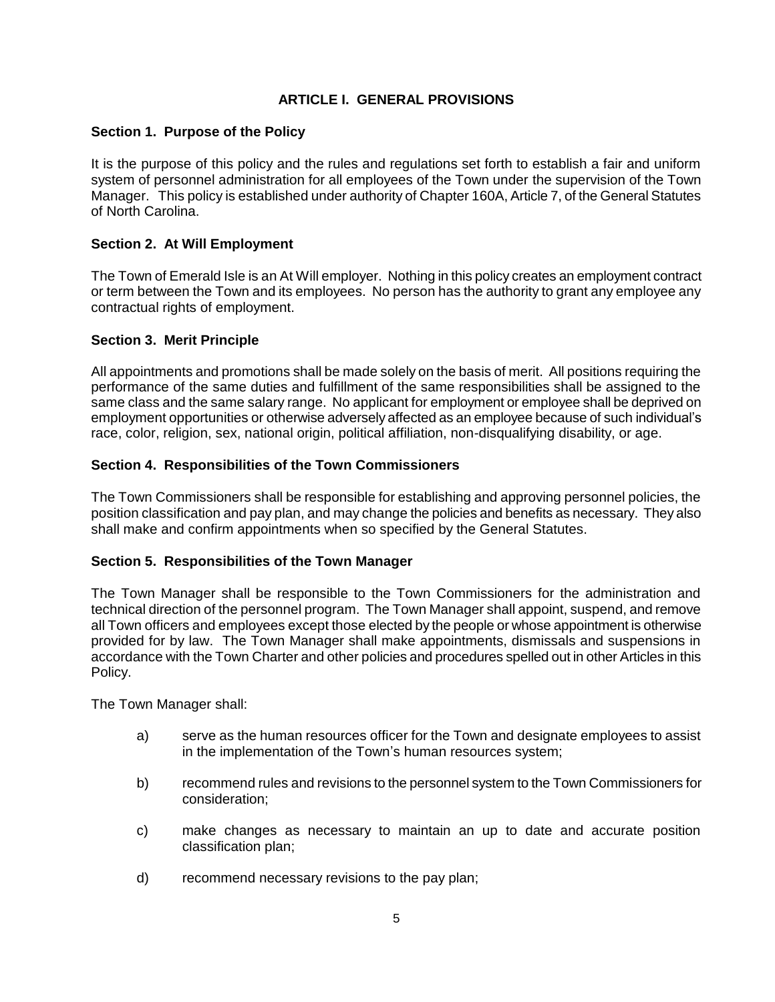# **ARTICLE I. GENERAL PROVISIONS**

## **Section 1. Purpose of the Policy**

It is the purpose of this policy and the rules and regulations set forth to establish a fair and uniform system of personnel administration for all employees of the Town under the supervision of the Town Manager. This policy is established under authority of Chapter 160A, Article 7, of the General Statutes of North Carolina.

## **Section 2. At Will Employment**

The Town of Emerald Isle is an At Will employer. Nothing in this policy creates an employment contract or term between the Town and its employees. No person has the authority to grant any employee any contractual rights of employment.

### **Section 3. Merit Principle**

All appointments and promotions shall be made solely on the basis of merit. All positions requiring the performance of the same duties and fulfillment of the same responsibilities shall be assigned to the same class and the same salary range. No applicant for employment or employee shall be deprived on employment opportunities or otherwise adversely affected as an employee because of such individual's race, color, religion, sex, national origin, political affiliation, non-disqualifying disability, or age.

## **Section 4. Responsibilities of the Town Commissioners**

The Town Commissioners shall be responsible for establishing and approving personnel policies, the position classification and pay plan, and may change the policies and benefits as necessary. They also shall make and confirm appointments when so specified by the General Statutes.

### **Section 5. Responsibilities of the Town Manager**

The Town Manager shall be responsible to the Town Commissioners for the administration and technical direction of the personnel program. The Town Manager shall appoint, suspend, and remove all Town officers and employees except those elected by the people or whose appointment is otherwise provided for by law. The Town Manager shall make appointments, dismissals and suspensions in accordance with the Town Charter and other policies and procedures spelled out in other Articles in this Policy.

The Town Manager shall:

- a) serve as the human resources officer for the Town and designate employees to assist in the implementation of the Town's human resources system;
- b) recommend rules and revisions to the personnel system to the Town Commissioners for consideration;
- c) make changes as necessary to maintain an up to date and accurate position classification plan;
- d) recommend necessary revisions to the pay plan;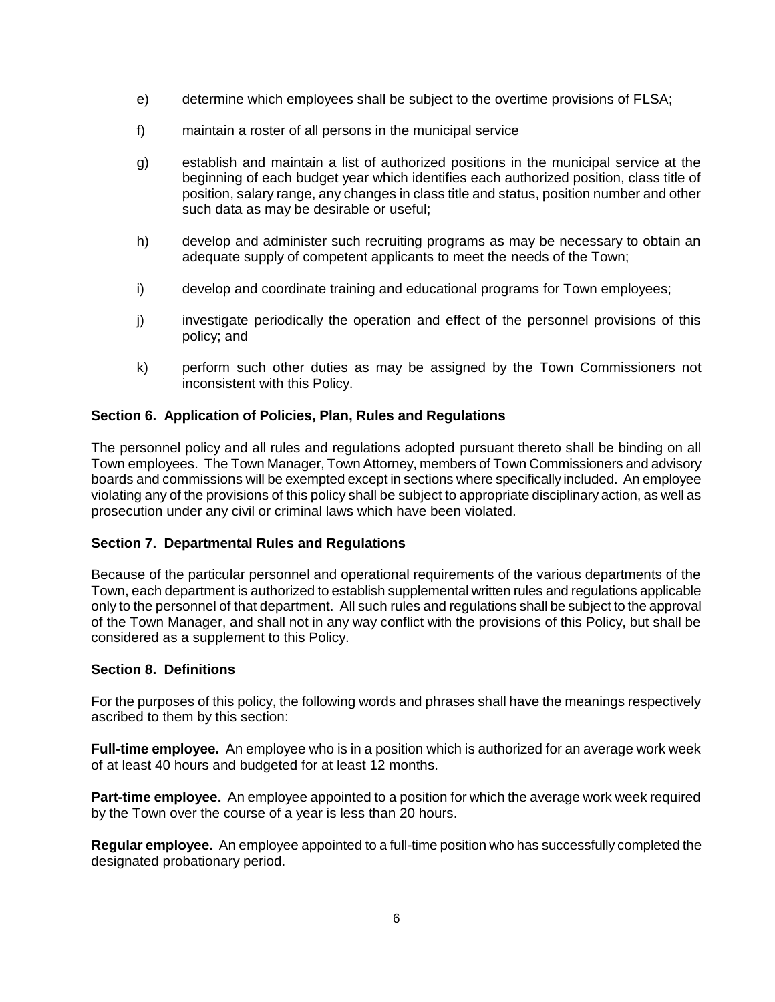- e) determine which employees shall be subject to the overtime provisions of FLSA;
- f) maintain a roster of all persons in the municipal service
- g) establish and maintain a list of authorized positions in the municipal service at the beginning of each budget year which identifies each authorized position, class title of position, salary range, any changes in class title and status, position number and other such data as may be desirable or useful;
- h) develop and administer such recruiting programs as may be necessary to obtain an adequate supply of competent applicants to meet the needs of the Town;
- i) develop and coordinate training and educational programs for Town employees;
- j) investigate periodically the operation and effect of the personnel provisions of this policy; and
- k) perform such other duties as may be assigned by the Town Commissioners not inconsistent with this Policy.

## **Section 6. Application of Policies, Plan, Rules and Regulations**

The personnel policy and all rules and regulations adopted pursuant thereto shall be binding on all Town employees. The Town Manager, Town Attorney, members of Town Commissioners and advisory boards and commissions will be exempted except in sections where specifically included. An employee violating any of the provisions of this policy shall be subject to appropriate disciplinary action, as well as prosecution under any civil or criminal laws which have been violated.

### **Section 7. Departmental Rules and Regulations**

Because of the particular personnel and operational requirements of the various departments of the Town, each department is authorized to establish supplemental written rules and regulations applicable only to the personnel of that department. All such rules and regulations shall be subject to the approval of the Town Manager, and shall not in any way conflict with the provisions of this Policy, but shall be considered as a supplement to this Policy.

### **Section 8. Definitions**

For the purposes of this policy, the following words and phrases shall have the meanings respectively ascribed to them by this section:

**Full-time employee.** An employee who is in a position which is authorized for an average work week of at least 40 hours and budgeted for at least 12 months.

**Part-time employee.** An employee appointed to a position for which the average work week required by the Town over the course of a year is less than 20 hours.

**Regular employee.** An employee appointed to a full-time position who has successfully completed the designated probationary period.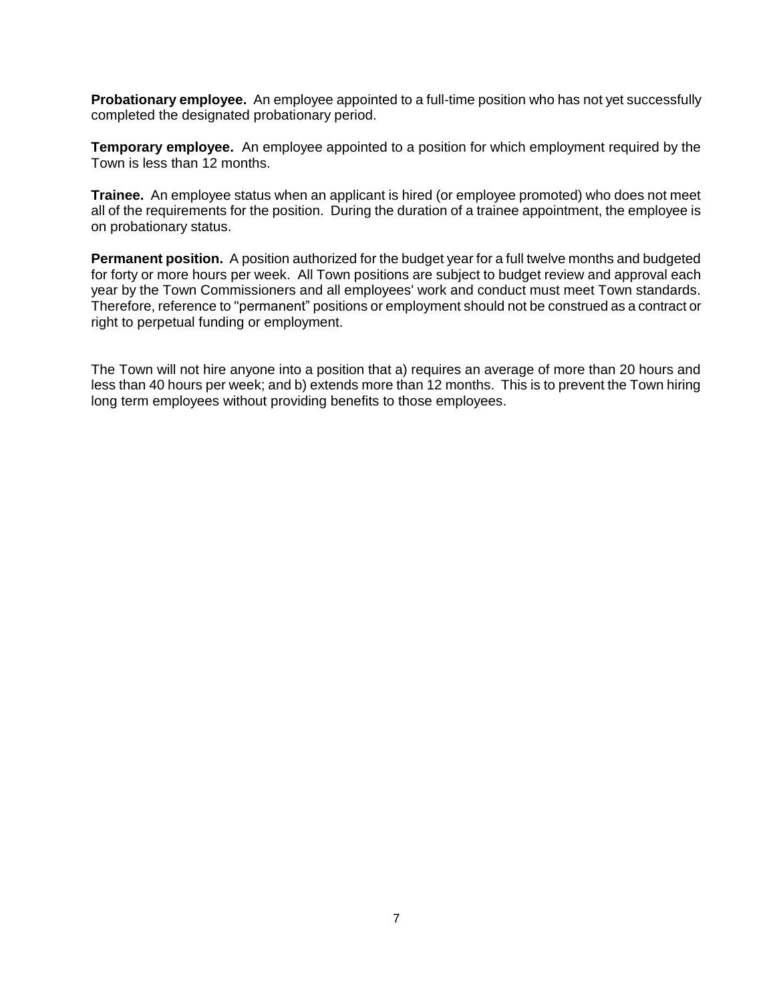**Probationary employee.** An employee appointed to a full-time position who has not yet successfully completed the designated probationary period.

**Temporary employee.** An employee appointed to a position for which employment required by the Town is less than 12 months.

**Trainee.** An employee status when an applicant is hired (or employee promoted) who does not meet all of the requirements for the position. During the duration of a trainee appointment, the employee is on probationary status.

**Permanent position.** A position authorized for the budget year for a full twelve months and budgeted for forty or more hours per week. All Town positions are subject to budget review and approval each year by the Town Commissioners and all employees' work and conduct must meet Town standards. Therefore, reference to "permanent" positions or employment should not be construed as a contract or right to perpetual funding or employment.

The Town will not hire anyone into a position that a) requires an average of more than 20 hours and less than 40 hours per week; and b) extends more than 12 months. This is to prevent the Town hiring long term employees without providing benefits to those employees.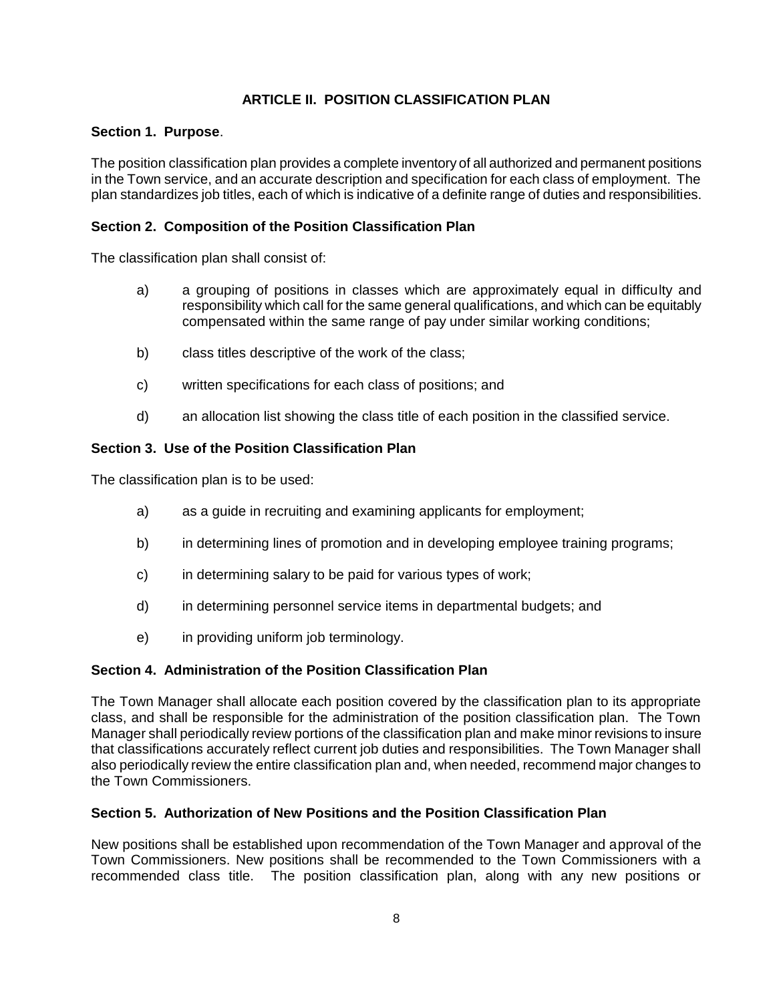# **ARTICLE II. POSITION CLASSIFICATION PLAN**

### **Section 1. Purpose**.

The position classification plan provides a complete inventory of all authorized and permanent positions in the Town service, and an accurate description and specification for each class of employment. The plan standardizes job titles, each of which is indicative of a definite range of duties and responsibilities.

## **Section 2. Composition of the Position Classification Plan**

The classification plan shall consist of:

- a) a grouping of positions in classes which are approximately equal in difficulty and responsibility which call for the same general qualifications, and which can be equitably compensated within the same range of pay under similar working conditions;
- b) class titles descriptive of the work of the class;
- c) written specifications for each class of positions; and
- d) an allocation list showing the class title of each position in the classified service.

## **Section 3. Use of the Position Classification Plan**

The classification plan is to be used:

- a) as a guide in recruiting and examining applicants for employment;
- b) in determining lines of promotion and in developing employee training programs;
- c) in determining salary to be paid for various types of work;
- d) in determining personnel service items in departmental budgets; and
- e) in providing uniform job terminology.

### **Section 4. Administration of the Position Classification Plan**

The Town Manager shall allocate each position covered by the classification plan to its appropriate class, and shall be responsible for the administration of the position classification plan. The Town Manager shall periodically review portions of the classification plan and make minor revisions to insure that classifications accurately reflect current job duties and responsibilities. The Town Manager shall also periodically review the entire classification plan and, when needed, recommend major changes to the Town Commissioners.

### **Section 5. Authorization of New Positions and the Position Classification Plan**

New positions shall be established upon recommendation of the Town Manager and approval of the Town Commissioners. New positions shall be recommended to the Town Commissioners with a recommended class title. The position classification plan, along with any new positions or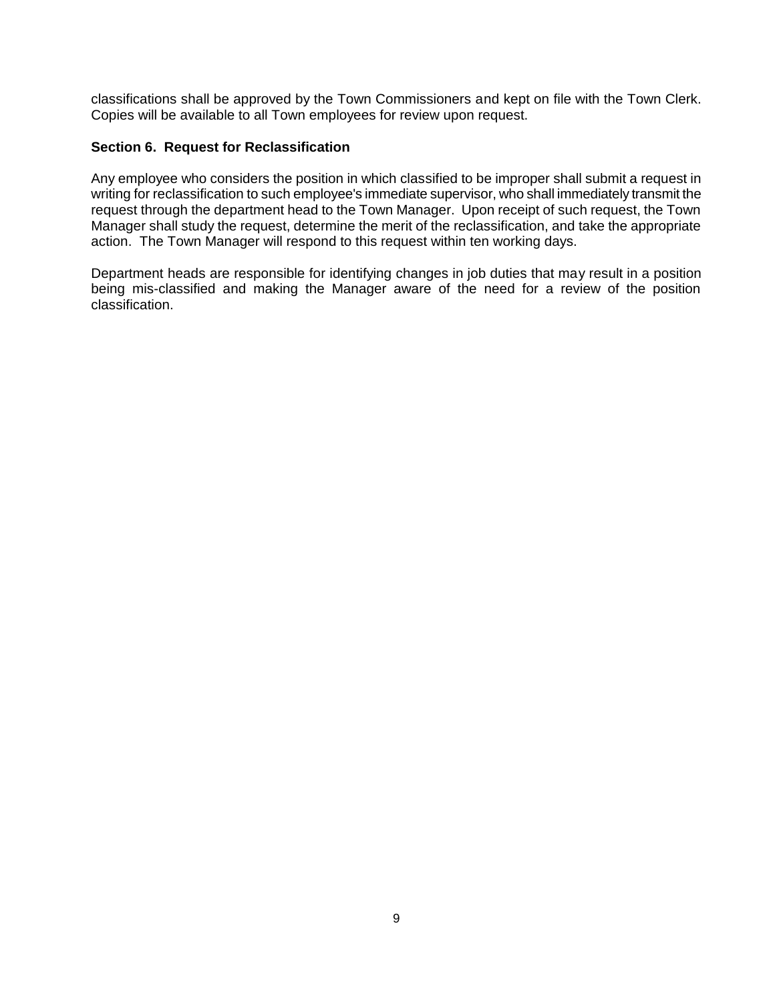classifications shall be approved by the Town Commissioners and kept on file with the Town Clerk. Copies will be available to all Town employees for review upon request.

## **Section 6. Request for Reclassification**

Any employee who considers the position in which classified to be improper shall submit a request in writing for reclassification to such employee's immediate supervisor, who shall immediately transmit the request through the department head to the Town Manager. Upon receipt of such request, the Town Manager shall study the request, determine the merit of the reclassification, and take the appropriate action. The Town Manager will respond to this request within ten working days.

Department heads are responsible for identifying changes in job duties that may result in a position being mis-classified and making the Manager aware of the need for a review of the position classification.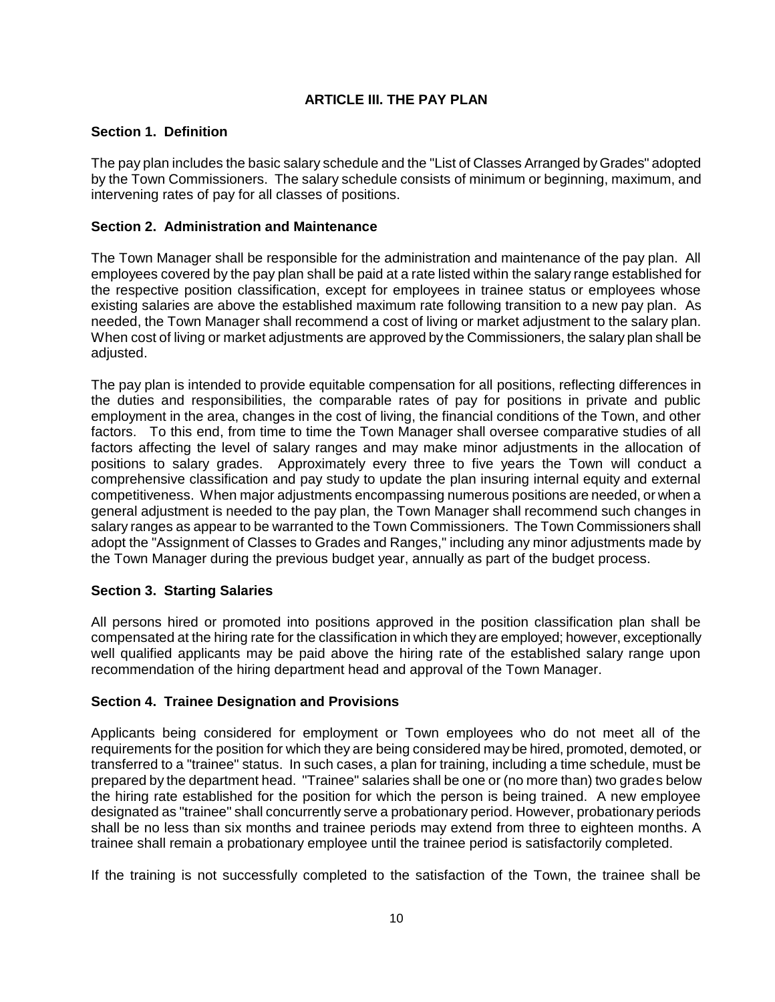# **ARTICLE III. THE PAY PLAN**

## **Section 1. Definition**

The pay plan includes the basic salary schedule and the "List of Classes Arranged by Grades" adopted by the Town Commissioners. The salary schedule consists of minimum or beginning, maximum, and intervening rates of pay for all classes of positions.

## **Section 2. Administration and Maintenance**

The Town Manager shall be responsible for the administration and maintenance of the pay plan. All employees covered by the pay plan shall be paid at a rate listed within the salary range established for the respective position classification, except for employees in trainee status or employees whose existing salaries are above the established maximum rate following transition to a new pay plan. As needed, the Town Manager shall recommend a cost of living or market adjustment to the salary plan. When cost of living or market adjustments are approved by the Commissioners, the salary plan shall be adjusted.

The pay plan is intended to provide equitable compensation for all positions, reflecting differences in the duties and responsibilities, the comparable rates of pay for positions in private and public employment in the area, changes in the cost of living, the financial conditions of the Town, and other factors. To this end, from time to time the Town Manager shall oversee comparative studies of all factors affecting the level of salary ranges and may make minor adjustments in the allocation of positions to salary grades. Approximately every three to five years the Town will conduct a comprehensive classification and pay study to update the plan insuring internal equity and external competitiveness. When major adjustments encompassing numerous positions are needed, or when a general adjustment is needed to the pay plan, the Town Manager shall recommend such changes in salary ranges as appear to be warranted to the Town Commissioners. The Town Commissioners shall adopt the "Assignment of Classes to Grades and Ranges," including any minor adjustments made by the Town Manager during the previous budget year, annually as part of the budget process.

### **Section 3. Starting Salaries**

All persons hired or promoted into positions approved in the position classification plan shall be compensated at the hiring rate for the classification in which they are employed; however, exceptionally well qualified applicants may be paid above the hiring rate of the established salary range upon recommendation of the hiring department head and approval of the Town Manager.

### **Section 4. Trainee Designation and Provisions**

Applicants being considered for employment or Town employees who do not meet all of the requirements for the position for which they are being considered may be hired, promoted, demoted, or transferred to a "trainee" status. In such cases, a plan for training, including a time schedule, must be prepared by the department head. "Trainee" salaries shall be one or (no more than) two grades below the hiring rate established for the position for which the person is being trained. A new employee designated as "trainee" shall concurrently serve a probationary period. However, probationary periods shall be no less than six months and trainee periods may extend from three to eighteen months. A trainee shall remain a probationary employee until the trainee period is satisfactorily completed.

If the training is not successfully completed to the satisfaction of the Town, the trainee shall be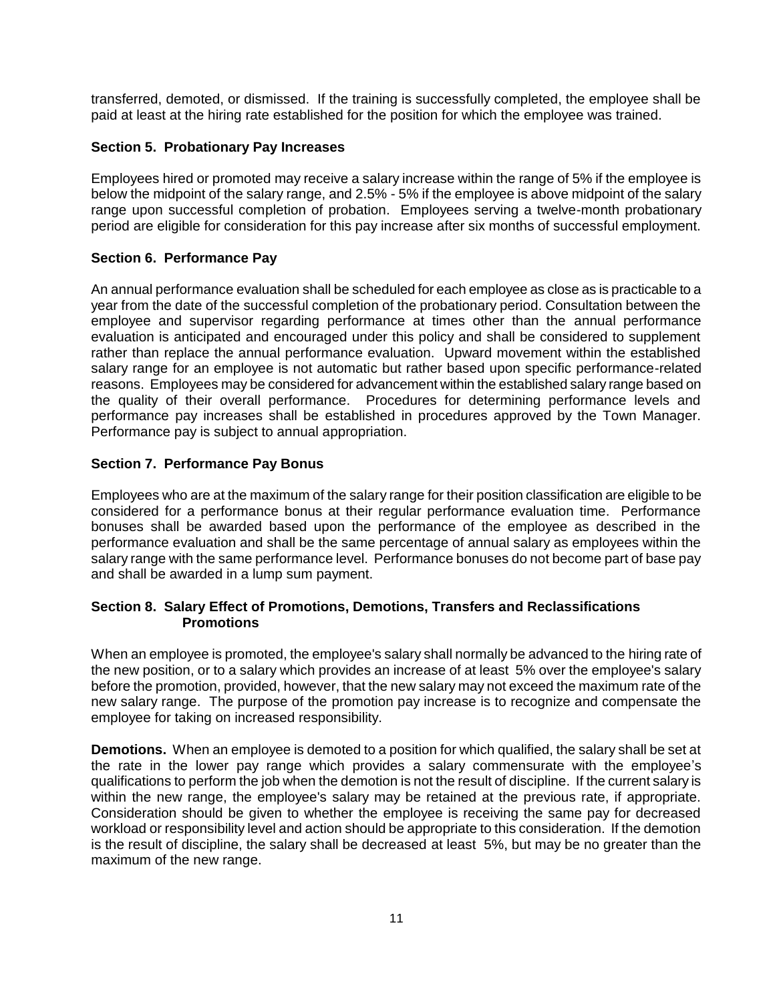transferred, demoted, or dismissed. If the training is successfully completed, the employee shall be paid at least at the hiring rate established for the position for which the employee was trained.

## **Section 5. Probationary Pay Increases**

Employees hired or promoted may receive a salary increase within the range of 5% if the employee is below the midpoint of the salary range, and 2.5% - 5% if the employee is above midpoint of the salary range upon successful completion of probation. Employees serving a twelve-month probationary period are eligible for consideration for this pay increase after six months of successful employment.

## **Section 6. Performance Pay**

An annual performance evaluation shall be scheduled for each employee as close as is practicable to a year from the date of the successful completion of the probationary period. Consultation between the employee and supervisor regarding performance at times other than the annual performance evaluation is anticipated and encouraged under this policy and shall be considered to supplement rather than replace the annual performance evaluation. Upward movement within the established salary range for an employee is not automatic but rather based upon specific performance-related reasons. Employees may be considered for advancement within the established salary range based on the quality of their overall performance. Procedures for determining performance levels and performance pay increases shall be established in procedures approved by the Town Manager. Performance pay is subject to annual appropriation.

## **Section 7. Performance Pay Bonus**

Employees who are at the maximum of the salary range for their position classification are eligible to be considered for a performance bonus at their regular performance evaluation time. Performance bonuses shall be awarded based upon the performance of the employee as described in the performance evaluation and shall be the same percentage of annual salary as employees within the salary range with the same performance level. Performance bonuses do not become part of base pay and shall be awarded in a lump sum payment.

## **Section 8. Salary Effect of Promotions, Demotions, Transfers and Reclassifications Promotions**

When an employee is promoted, the employee's salary shall normally be advanced to the hiring rate of the new position, or to a salary which provides an increase of at least 5% over the employee's salary before the promotion, provided, however, that the new salary may not exceed the maximum rate of the new salary range. The purpose of the promotion pay increase is to recognize and compensate the employee for taking on increased responsibility.

**Demotions.** When an employee is demoted to a position for which qualified, the salary shall be set at the rate in the lower pay range which provides a salary commensurate with the employee's qualifications to perform the job when the demotion is not the result of discipline. If the current salary is within the new range, the employee's salary may be retained at the previous rate, if appropriate. Consideration should be given to whether the employee is receiving the same pay for decreased workload or responsibility level and action should be appropriate to this consideration. If the demotion is the result of discipline, the salary shall be decreased at least 5%, but may be no greater than the maximum of the new range.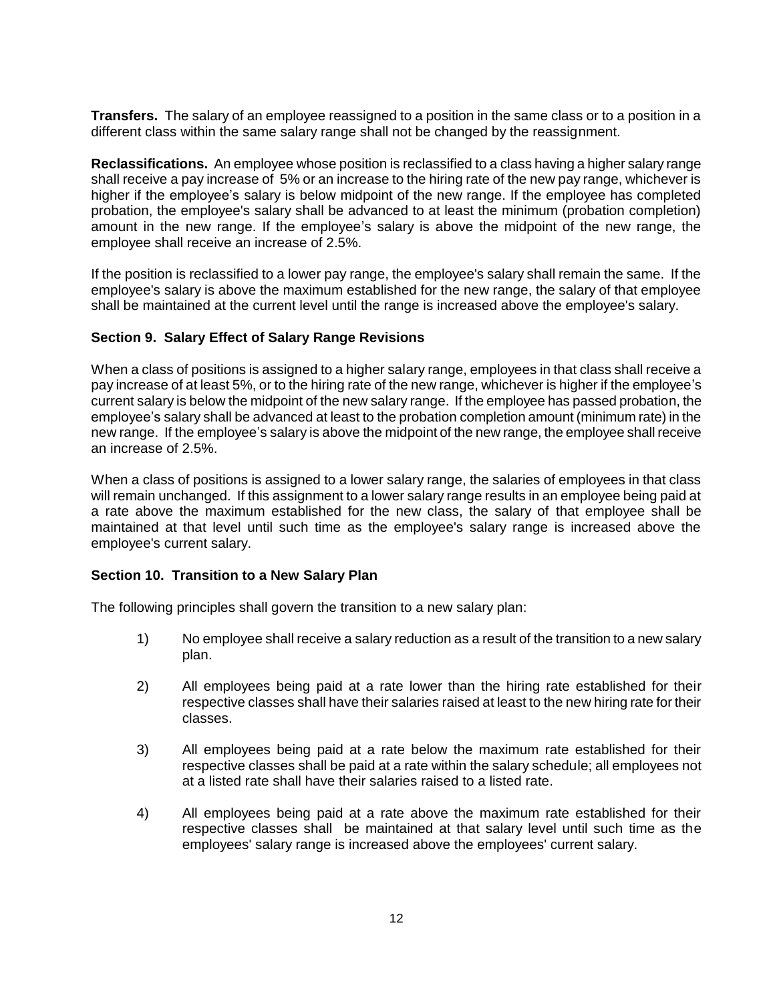**Transfers.** The salary of an employee reassigned to a position in the same class or to a position in a different class within the same salary range shall not be changed by the reassignment.

**Reclassifications.** An employee whose position is reclassified to a class having a higher salary range shall receive a pay increase of 5% or an increase to the hiring rate of the new pay range, whichever is higher if the employee's salary is below midpoint of the new range. If the employee has completed probation, the employee's salary shall be advanced to at least the minimum (probation completion) amount in the new range. If the employee's salary is above the midpoint of the new range, the employee shall receive an increase of 2.5%.

If the position is reclassified to a lower pay range, the employee's salary shall remain the same. If the employee's salary is above the maximum established for the new range, the salary of that employee shall be maintained at the current level until the range is increased above the employee's salary.

### **Section 9. Salary Effect of Salary Range Revisions**

When a class of positions is assigned to a higher salary range, employees in that class shall receive a pay increase of at least 5%, or to the hiring rate of the new range, whichever is higher if the employee's current salary is below the midpoint of the new salary range. If the employee has passed probation, the employee's salary shall be advanced at least to the probation completion amount (minimum rate) in the new range. If the employee's salary is above the midpoint of the new range, the employee shall receive an increase of 2.5%.

When a class of positions is assigned to a lower salary range, the salaries of employees in that class will remain unchanged. If this assignment to a lower salary range results in an employee being paid at a rate above the maximum established for the new class, the salary of that employee shall be maintained at that level until such time as the employee's salary range is increased above the employee's current salary.

### **Section 10. Transition to a New Salary Plan**

The following principles shall govern the transition to a new salary plan:

- 1) No employee shall receive a salary reduction as a result of the transition to a new salary plan.
- 2) All employees being paid at a rate lower than the hiring rate established for their respective classes shall have their salaries raised at least to the new hiring rate for their classes.
- 3) All employees being paid at a rate below the maximum rate established for their respective classes shall be paid at a rate within the salary schedule; all employees not at a listed rate shall have their salaries raised to a listed rate.
- 4) All employees being paid at a rate above the maximum rate established for their respective classes shall be maintained at that salary level until such time as the employees' salary range is increased above the employees' current salary.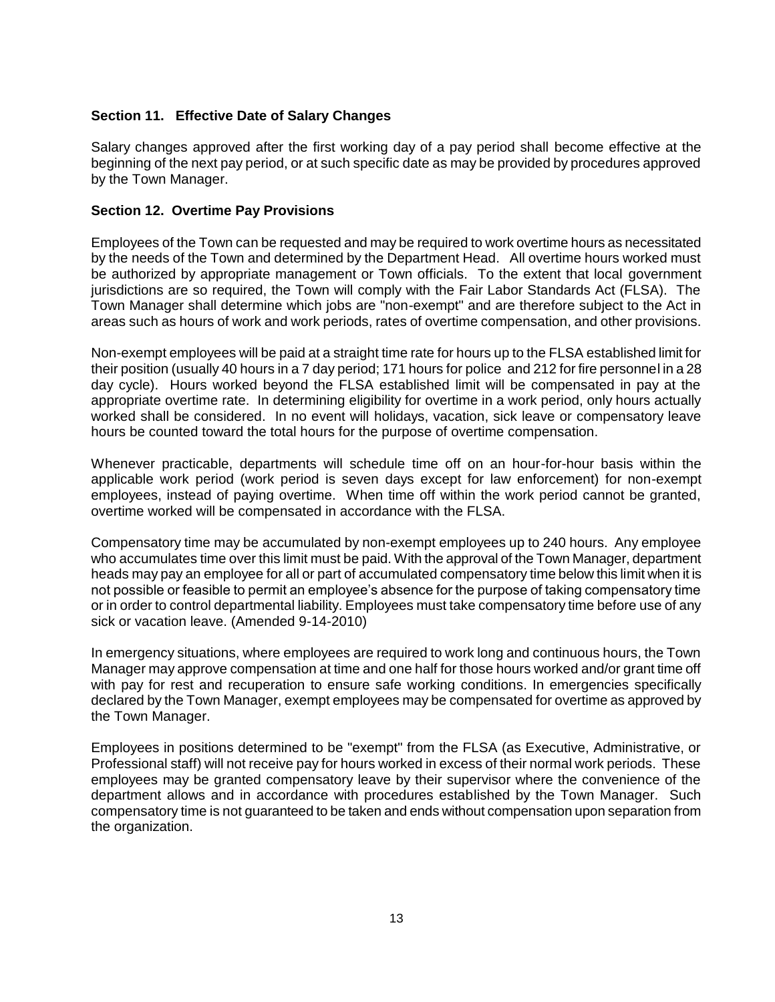## **Section 11. Effective Date of Salary Changes**

Salary changes approved after the first working day of a pay period shall become effective at the beginning of the next pay period, or at such specific date as may be provided by procedures approved by the Town Manager.

### **Section 12. Overtime Pay Provisions**

Employees of the Town can be requested and may be required to work overtime hours as necessitated by the needs of the Town and determined by the Department Head. All overtime hours worked must be authorized by appropriate management or Town officials. To the extent that local government jurisdictions are so required, the Town will comply with the Fair Labor Standards Act (FLSA). The Town Manager shall determine which jobs are "non-exempt" and are therefore subject to the Act in areas such as hours of work and work periods, rates of overtime compensation, and other provisions.

Non-exempt employees will be paid at a straight time rate for hours up to the FLSA established limit for their position (usually 40 hours in a 7 day period; 171 hours for police and 212 for fire personnel in a 28 day cycle). Hours worked beyond the FLSA established limit will be compensated in pay at the appropriate overtime rate. In determining eligibility for overtime in a work period, only hours actually worked shall be considered. In no event will holidays, vacation, sick leave or compensatory leave hours be counted toward the total hours for the purpose of overtime compensation.

Whenever practicable, departments will schedule time off on an hour-for-hour basis within the applicable work period (work period is seven days except for law enforcement) for non-exempt employees, instead of paying overtime. When time off within the work period cannot be granted, overtime worked will be compensated in accordance with the FLSA.

Compensatory time may be accumulated by non-exempt employees up to 240 hours. Any employee who accumulates time over this limit must be paid. With the approval of the Town Manager, department heads may pay an employee for all or part of accumulated compensatory time below this limit when it is not possible or feasible to permit an employee's absence for the purpose of taking compensatory time or in order to control departmental liability. Employees must take compensatory time before use of any sick or vacation leave. (Amended 9-14-2010)

In emergency situations, where employees are required to work long and continuous hours, the Town Manager may approve compensation at time and one half for those hours worked and/or grant time off with pay for rest and recuperation to ensure safe working conditions. In emergencies specifically declared by the Town Manager, exempt employees may be compensated for overtime as approved by the Town Manager.

Employees in positions determined to be "exempt" from the FLSA (as Executive, Administrative, or Professional staff) will not receive pay for hours worked in excess of their normal work periods. These employees may be granted compensatory leave by their supervisor where the convenience of the department allows and in accordance with procedures established by the Town Manager. Such compensatory time is not guaranteed to be taken and ends without compensation upon separation from the organization.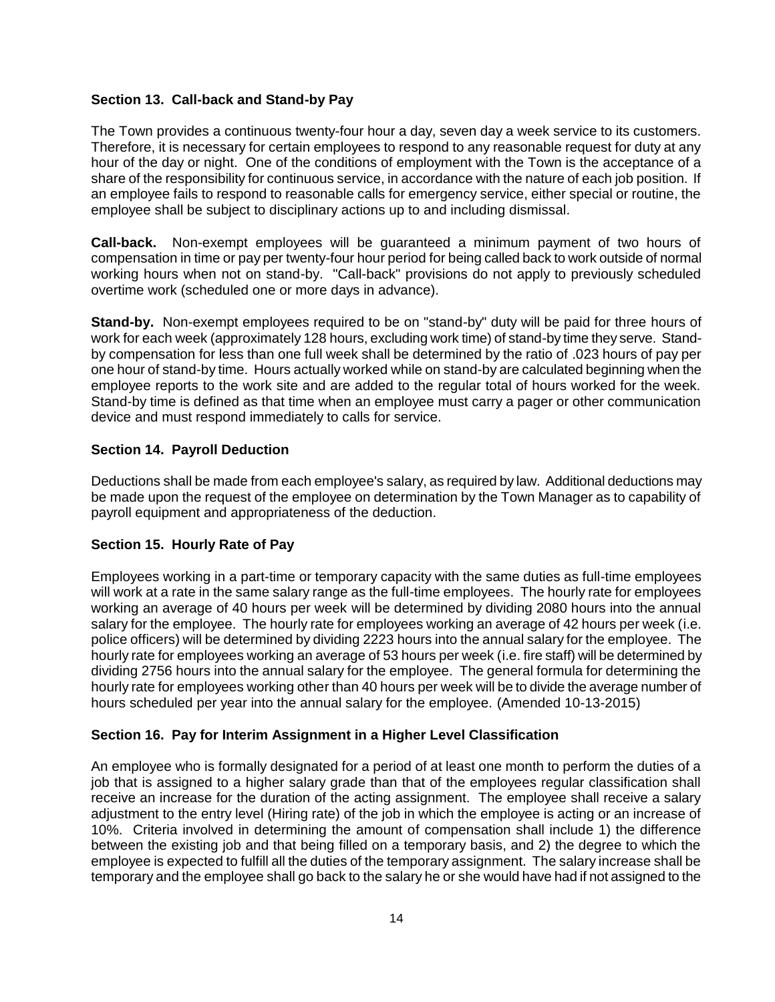## **Section 13. Call-back and Stand-by Pay**

The Town provides a continuous twenty-four hour a day, seven day a week service to its customers. Therefore, it is necessary for certain employees to respond to any reasonable request for duty at any hour of the day or night. One of the conditions of employment with the Town is the acceptance of a share of the responsibility for continuous service, in accordance with the nature of each job position. If an employee fails to respond to reasonable calls for emergency service, either special or routine, the employee shall be subject to disciplinary actions up to and including dismissal.

**Call-back.** Non-exempt employees will be guaranteed a minimum payment of two hours of compensation in time or pay per twenty-four hour period for being called back to work outside of normal working hours when not on stand-by. "Call-back" provisions do not apply to previously scheduled overtime work (scheduled one or more days in advance).

**Stand-by.** Non-exempt employees required to be on "stand-by" duty will be paid for three hours of work for each week (approximately 128 hours, excluding work time) of stand-by time they serve. Standby compensation for less than one full week shall be determined by the ratio of .023 hours of pay per one hour of stand-by time. Hours actually worked while on stand-by are calculated beginning when the employee reports to the work site and are added to the regular total of hours worked for the week. Stand-by time is defined as that time when an employee must carry a pager or other communication device and must respond immediately to calls for service.

## **Section 14. Payroll Deduction**

Deductions shall be made from each employee's salary, as required by law. Additional deductions may be made upon the request of the employee on determination by the Town Manager as to capability of payroll equipment and appropriateness of the deduction.

### **Section 15. Hourly Rate of Pay**

Employees working in a part-time or temporary capacity with the same duties as full-time employees will work at a rate in the same salary range as the full-time employees. The hourly rate for employees working an average of 40 hours per week will be determined by dividing 2080 hours into the annual salary for the employee. The hourly rate for employees working an average of 42 hours per week (i.e. police officers) will be determined by dividing 2223 hours into the annual salary for the employee. The hourly rate for employees working an average of 53 hours per week (i.e. fire staff) will be determined by dividing 2756 hours into the annual salary for the employee. The general formula for determining the hourly rate for employees working other than 40 hours per week will be to divide the average number of hours scheduled per year into the annual salary for the employee. (Amended 10-13-2015)

## **Section 16. Pay for Interim Assignment in a Higher Level Classification**

An employee who is formally designated for a period of at least one month to perform the duties of a job that is assigned to a higher salary grade than that of the employees regular classification shall receive an increase for the duration of the acting assignment. The employee shall receive a salary adjustment to the entry level (Hiring rate) of the job in which the employee is acting or an increase of 10%. Criteria involved in determining the amount of compensation shall include 1) the difference between the existing job and that being filled on a temporary basis, and 2) the degree to which the employee is expected to fulfill all the duties of the temporary assignment. The salary increase shall be temporary and the employee shall go back to the salary he or she would have had if not assigned to the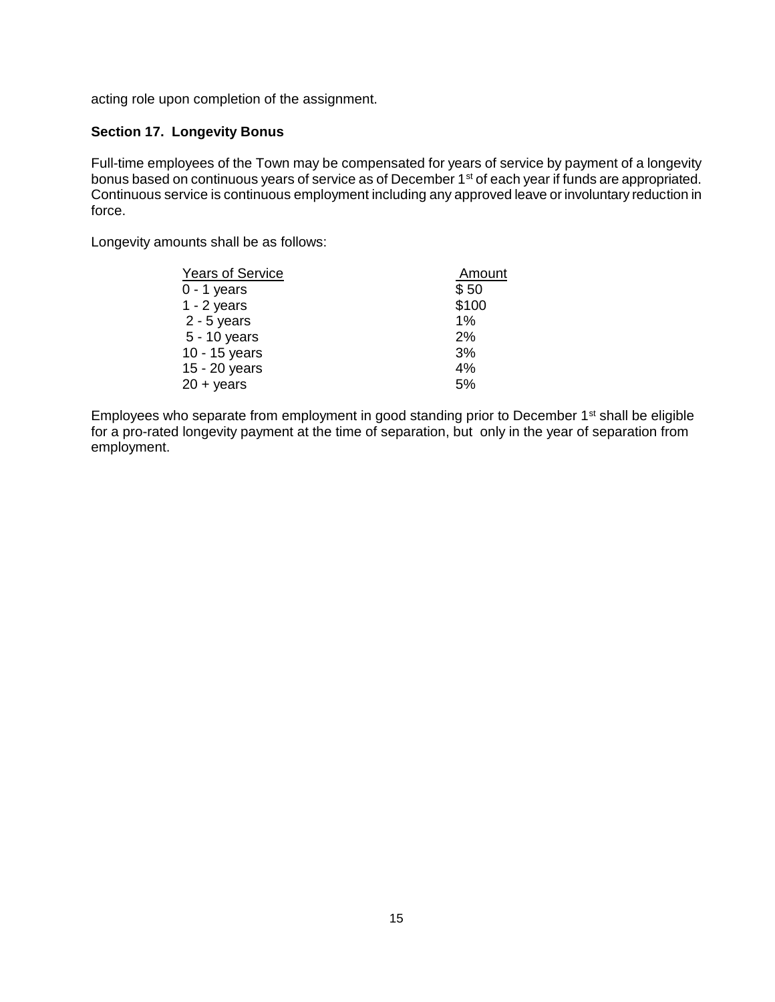acting role upon completion of the assignment.

## **Section 17. Longevity Bonus**

Full-time employees of the Town may be compensated for years of service by payment of a longevity bonus based on continuous years of service as of December 1<sup>st</sup> of each year if funds are appropriated. Continuous service is continuous employment including any approved leave or involuntary reduction in force.

Longevity amounts shall be as follows:

| <b>Years of Service</b> | Amount |  |
|-------------------------|--------|--|
| 0 - 1 years             | \$50   |  |
| $1 - 2$ years           | \$100  |  |
| $2 - 5$ years           | 1%     |  |
| 5 - 10 years            | 2%     |  |
| 10 - 15 years           | 3%     |  |
| 15 - 20 years           | 4%     |  |
| 20 + years              | 5%     |  |

Employees who separate from employment in good standing prior to December 1<sup>st</sup> shall be eligible for a pro-rated longevity payment at the time of separation, but only in the year of separation from employment.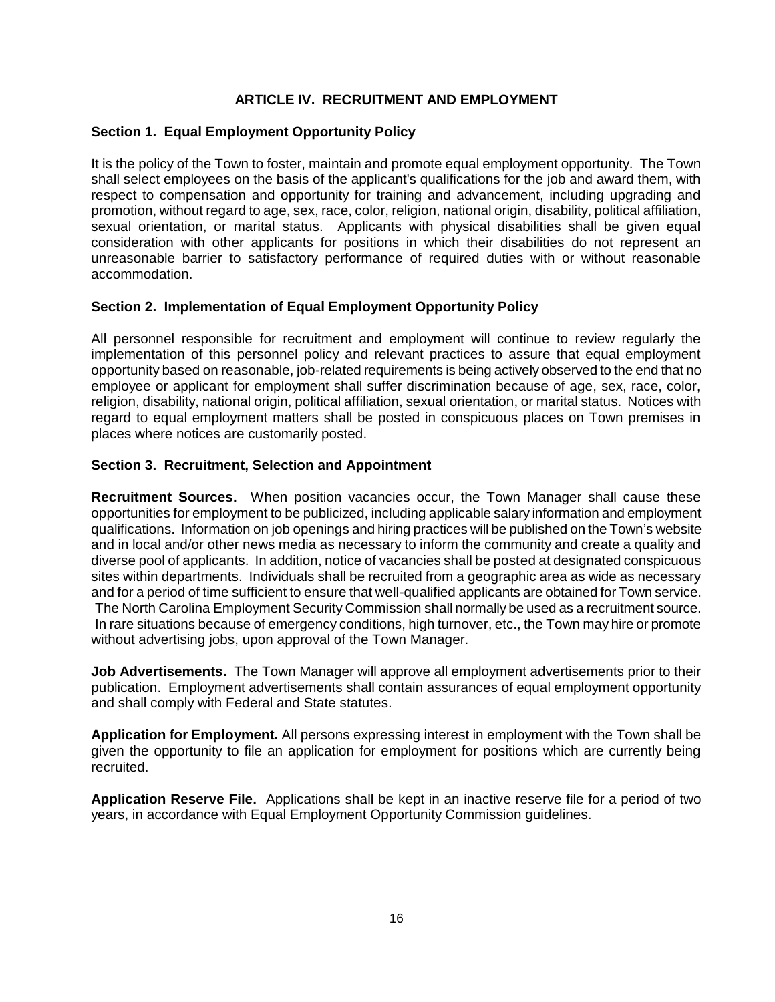## **ARTICLE IV. RECRUITMENT AND EMPLOYMENT**

### **Section 1. Equal Employment Opportunity Policy**

It is the policy of the Town to foster, maintain and promote equal employment opportunity. The Town shall select employees on the basis of the applicant's qualifications for the job and award them, with respect to compensation and opportunity for training and advancement, including upgrading and promotion, without regard to age, sex, race, color, religion, national origin, disability, political affiliation, sexual orientation, or marital status. Applicants with physical disabilities shall be given equal consideration with other applicants for positions in which their disabilities do not represent an unreasonable barrier to satisfactory performance of required duties with or without reasonable accommodation.

## **Section 2. Implementation of Equal Employment Opportunity Policy**

All personnel responsible for recruitment and employment will continue to review regularly the implementation of this personnel policy and relevant practices to assure that equal employment opportunity based on reasonable, job-related requirements is being actively observed to the end that no employee or applicant for employment shall suffer discrimination because of age, sex, race, color, religion, disability, national origin, political affiliation, sexual orientation, or marital status. Notices with regard to equal employment matters shall be posted in conspicuous places on Town premises in places where notices are customarily posted.

### **Section 3. Recruitment, Selection and Appointment**

**Recruitment Sources.** When position vacancies occur, the Town Manager shall cause these opportunities for employment to be publicized, including applicable salary information and employment qualifications. Information on job openings and hiring practices will be published on the Town's website and in local and/or other news media as necessary to inform the community and create a quality and diverse pool of applicants. In addition, notice of vacancies shall be posted at designated conspicuous sites within departments. Individuals shall be recruited from a geographic area as wide as necessary and for a period of time sufficient to ensure that well-qualified applicants are obtained for Town service. The North Carolina Employment Security Commission shall normally be used as a recruitment source. In rare situations because of emergency conditions, high turnover, etc., the Town may hire or promote without advertising jobs, upon approval of the Town Manager.

**Job Advertisements.** The Town Manager will approve all employment advertisements prior to their publication. Employment advertisements shall contain assurances of equal employment opportunity and shall comply with Federal and State statutes.

**Application for Employment.** All persons expressing interest in employment with the Town shall be given the opportunity to file an application for employment for positions which are currently being recruited.

**Application Reserve File.** Applications shall be kept in an inactive reserve file for a period of two years, in accordance with Equal Employment Opportunity Commission guidelines.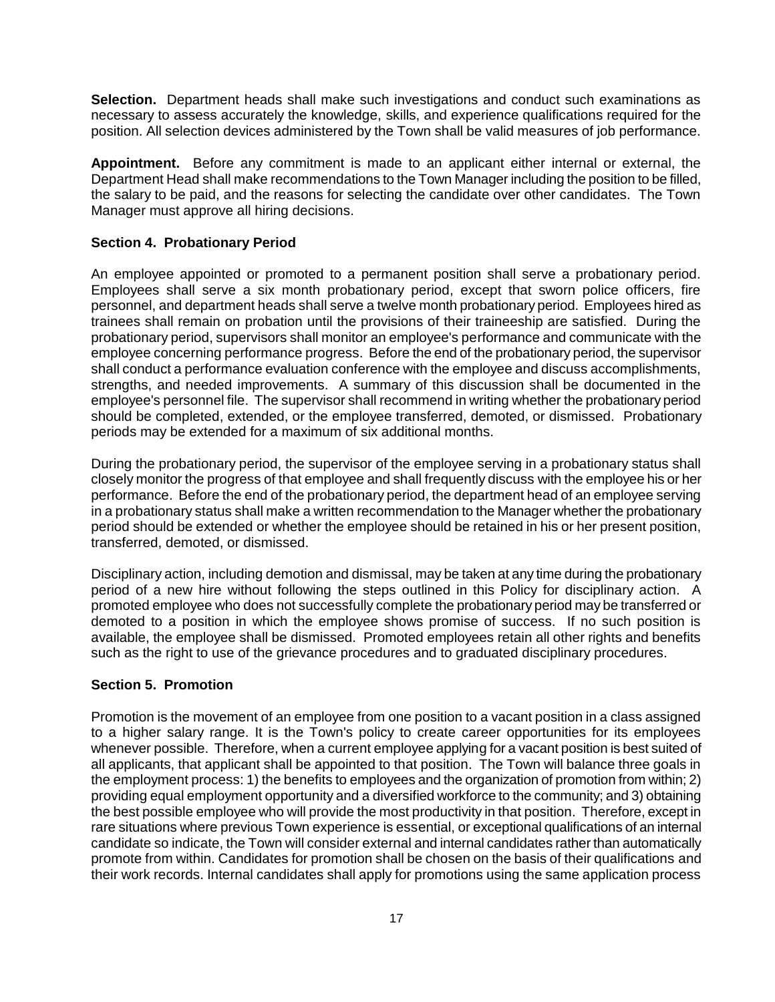**Selection.** Department heads shall make such investigations and conduct such examinations as necessary to assess accurately the knowledge, skills, and experience qualifications required for the position. All selection devices administered by the Town shall be valid measures of job performance.

**Appointment.** Before any commitment is made to an applicant either internal or external, the Department Head shall make recommendations to the Town Manager including the position to be filled, the salary to be paid, and the reasons for selecting the candidate over other candidates. The Town Manager must approve all hiring decisions.

#### **Section 4. Probationary Period**

An employee appointed or promoted to a permanent position shall serve a probationary period. Employees shall serve a six month probationary period, except that sworn police officers, fire personnel, and department heads shall serve a twelve month probationary period. Employees hired as trainees shall remain on probation until the provisions of their traineeship are satisfied. During the probationary period, supervisors shall monitor an employee's performance and communicate with the employee concerning performance progress. Before the end of the probationary period, the supervisor shall conduct a performance evaluation conference with the employee and discuss accomplishments, strengths, and needed improvements. A summary of this discussion shall be documented in the employee's personnel file. The supervisor shall recommend in writing whether the probationary period should be completed, extended, or the employee transferred, demoted, or dismissed. Probationary periods may be extended for a maximum of six additional months.

During the probationary period, the supervisor of the employee serving in a probationary status shall closely monitor the progress of that employee and shall frequently discuss with the employee his or her performance. Before the end of the probationary period, the department head of an employee serving in a probationary status shall make a written recommendation to the Manager whether the probationary period should be extended or whether the employee should be retained in his or her present position, transferred, demoted, or dismissed.

Disciplinary action, including demotion and dismissal, may be taken at any time during the probationary period of a new hire without following the steps outlined in this Policy for disciplinary action. A promoted employee who does not successfully complete the probationary period may be transferred or demoted to a position in which the employee shows promise of success. If no such position is available, the employee shall be dismissed. Promoted employees retain all other rights and benefits such as the right to use of the grievance procedures and to graduated disciplinary procedures.

#### **Section 5. Promotion**

Promotion is the movement of an employee from one position to a vacant position in a class assigned to a higher salary range. It is the Town's policy to create career opportunities for its employees whenever possible. Therefore, when a current employee applying for a vacant position is best suited of all applicants, that applicant shall be appointed to that position. The Town will balance three goals in the employment process: 1) the benefits to employees and the organization of promotion from within; 2) providing equal employment opportunity and a diversified workforce to the community; and 3) obtaining the best possible employee who will provide the most productivity in that position. Therefore, except in rare situations where previous Town experience is essential, or exceptional qualifications of an internal candidate so indicate, the Town will consider external and internal candidates rather than automatically promote from within. Candidates for promotion shall be chosen on the basis of their qualifications and their work records. Internal candidates shall apply for promotions using the same application process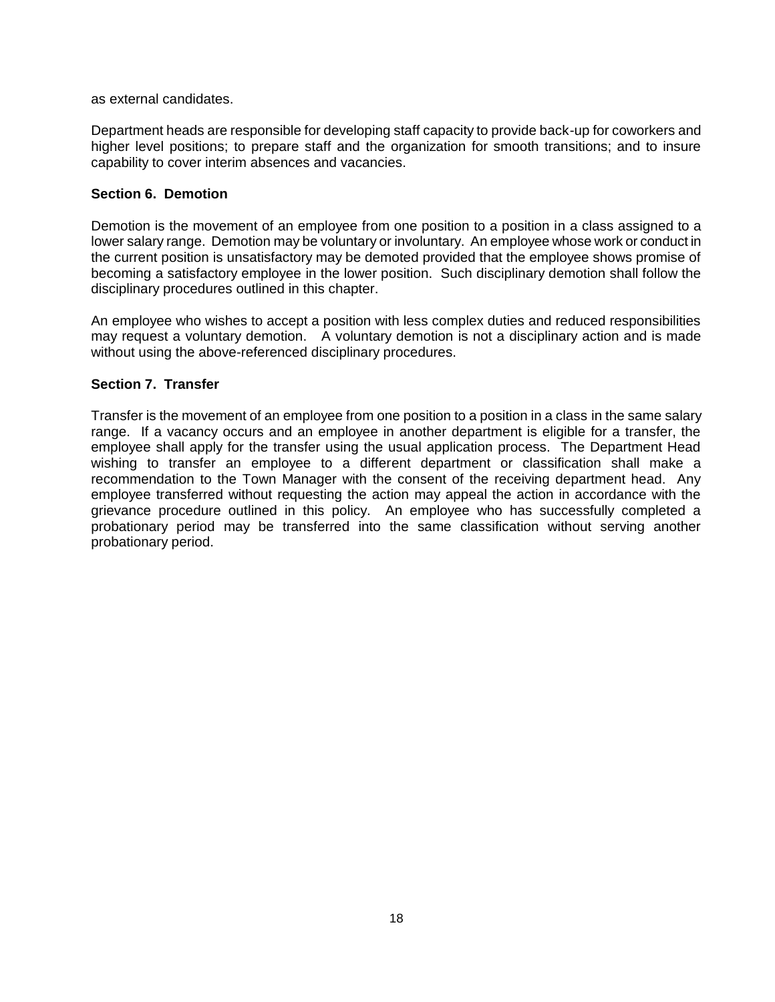as external candidates.

Department heads are responsible for developing staff capacity to provide back-up for coworkers and higher level positions; to prepare staff and the organization for smooth transitions; and to insure capability to cover interim absences and vacancies.

### **Section 6. Demotion**

Demotion is the movement of an employee from one position to a position in a class assigned to a lower salary range. Demotion may be voluntary or involuntary. An employee whose work or conduct in the current position is unsatisfactory may be demoted provided that the employee shows promise of becoming a satisfactory employee in the lower position. Such disciplinary demotion shall follow the disciplinary procedures outlined in this chapter.

An employee who wishes to accept a position with less complex duties and reduced responsibilities may request a voluntary demotion. A voluntary demotion is not a disciplinary action and is made without using the above-referenced disciplinary procedures.

## **Section 7. Transfer**

Transfer is the movement of an employee from one position to a position in a class in the same salary range. If a vacancy occurs and an employee in another department is eligible for a transfer, the employee shall apply for the transfer using the usual application process. The Department Head wishing to transfer an employee to a different department or classification shall make a recommendation to the Town Manager with the consent of the receiving department head. Any employee transferred without requesting the action may appeal the action in accordance with the grievance procedure outlined in this policy. An employee who has successfully completed a probationary period may be transferred into the same classification without serving another probationary period.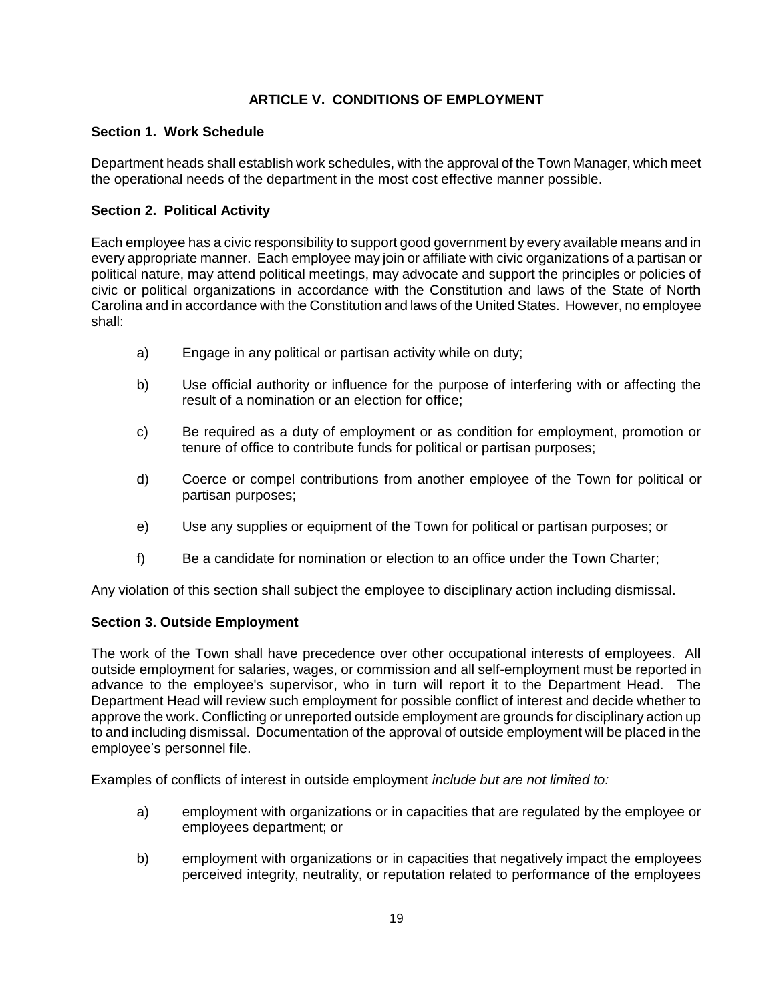# **ARTICLE V. CONDITIONS OF EMPLOYMENT**

## **Section 1. Work Schedule**

Department heads shall establish work schedules, with the approval of the Town Manager, which meet the operational needs of the department in the most cost effective manner possible.

## **Section 2. Political Activity**

Each employee has a civic responsibility to support good government by every available means and in every appropriate manner. Each employee may join or affiliate with civic organizations of a partisan or political nature, may attend political meetings, may advocate and support the principles or policies of civic or political organizations in accordance with the Constitution and laws of the State of North Carolina and in accordance with the Constitution and laws of the United States. However, no employee shall:

- a) Engage in any political or partisan activity while on duty;
- b) Use official authority or influence for the purpose of interfering with or affecting the result of a nomination or an election for office;
- c) Be required as a duty of employment or as condition for employment, promotion or tenure of office to contribute funds for political or partisan purposes;
- d) Coerce or compel contributions from another employee of the Town for political or partisan purposes;
- e) Use any supplies or equipment of the Town for political or partisan purposes; or
- f) Be a candidate for nomination or election to an office under the Town Charter;

Any violation of this section shall subject the employee to disciplinary action including dismissal.

### **Section 3. Outside Employment**

The work of the Town shall have precedence over other occupational interests of employees. All outside employment for salaries, wages, or commission and all self-employment must be reported in advance to the employee's supervisor, who in turn will report it to the Department Head. The Department Head will review such employment for possible conflict of interest and decide whether to approve the work. Conflicting or unreported outside employment are grounds for disciplinary action up to and including dismissal. Documentation of the approval of outside employment will be placed in the employee's personnel file.

Examples of conflicts of interest in outside employment *include but are not limited to:*

- a) employment with organizations or in capacities that are regulated by the employee or employees department; or
- b) employment with organizations or in capacities that negatively impact the employees perceived integrity, neutrality, or reputation related to performance of the employees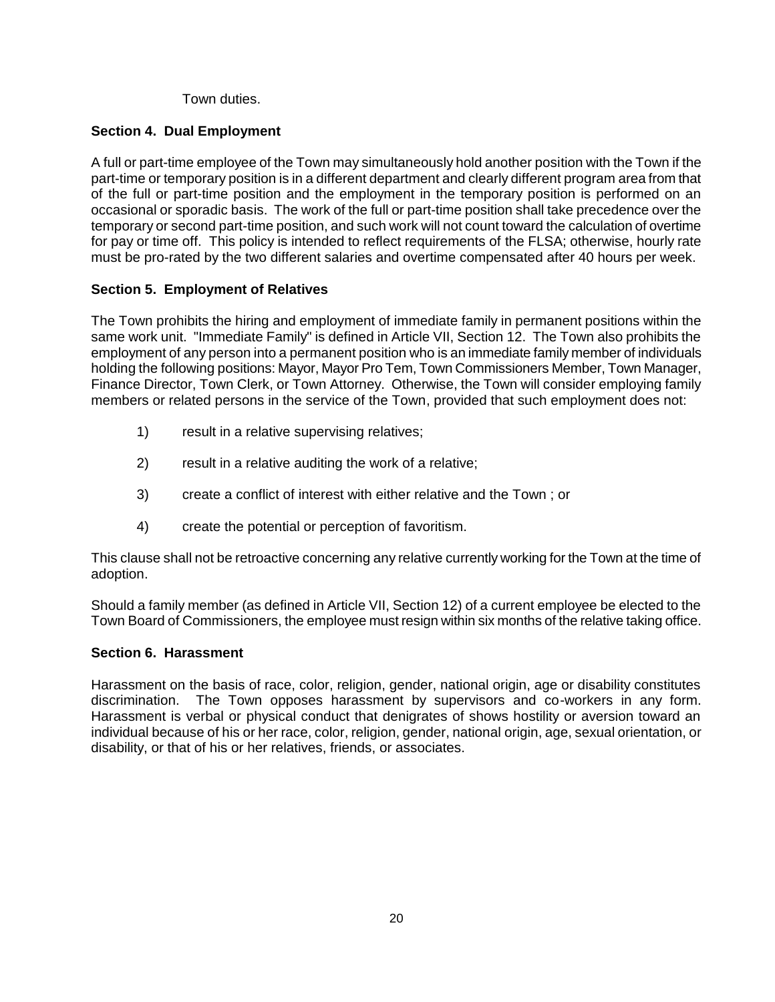Town duties.

# **Section 4. Dual Employment**

A full or part-time employee of the Town may simultaneously hold another position with the Town if the part-time or temporary position is in a different department and clearly different program area from that of the full or part-time position and the employment in the temporary position is performed on an occasional or sporadic basis. The work of the full or part-time position shall take precedence over the temporary or second part-time position, and such work will not count toward the calculation of overtime for pay or time off. This policy is intended to reflect requirements of the FLSA; otherwise, hourly rate must be pro-rated by the two different salaries and overtime compensated after 40 hours per week.

# **Section 5. Employment of Relatives**

The Town prohibits the hiring and employment of immediate family in permanent positions within the same work unit. "Immediate Family" is defined in Article VII, Section 12. The Town also prohibits the employment of any person into a permanent position who is an immediate family member of individuals holding the following positions: Mayor, Mayor Pro Tem, Town Commissioners Member, Town Manager, Finance Director, Town Clerk, or Town Attorney. Otherwise, the Town will consider employing family members or related persons in the service of the Town, provided that such employment does not:

- 1) result in a relative supervising relatives;
- 2) result in a relative auditing the work of a relative;
- 3) create a conflict of interest with either relative and the Town ; or
- 4) create the potential or perception of favoritism.

This clause shall not be retroactive concerning any relative currently working for the Town at the time of adoption.

Should a family member (as defined in Article VII, Section 12) of a current employee be elected to the Town Board of Commissioners, the employee must resign within six months of the relative taking office.

# **Section 6. Harassment**

Harassment on the basis of race, color, religion, gender, national origin, age or disability constitutes discrimination. The Town opposes harassment by supervisors and co-workers in any form. Harassment is verbal or physical conduct that denigrates of shows hostility or aversion toward an individual because of his or her race, color, religion, gender, national origin, age, sexual orientation, or disability, or that of his or her relatives, friends, or associates.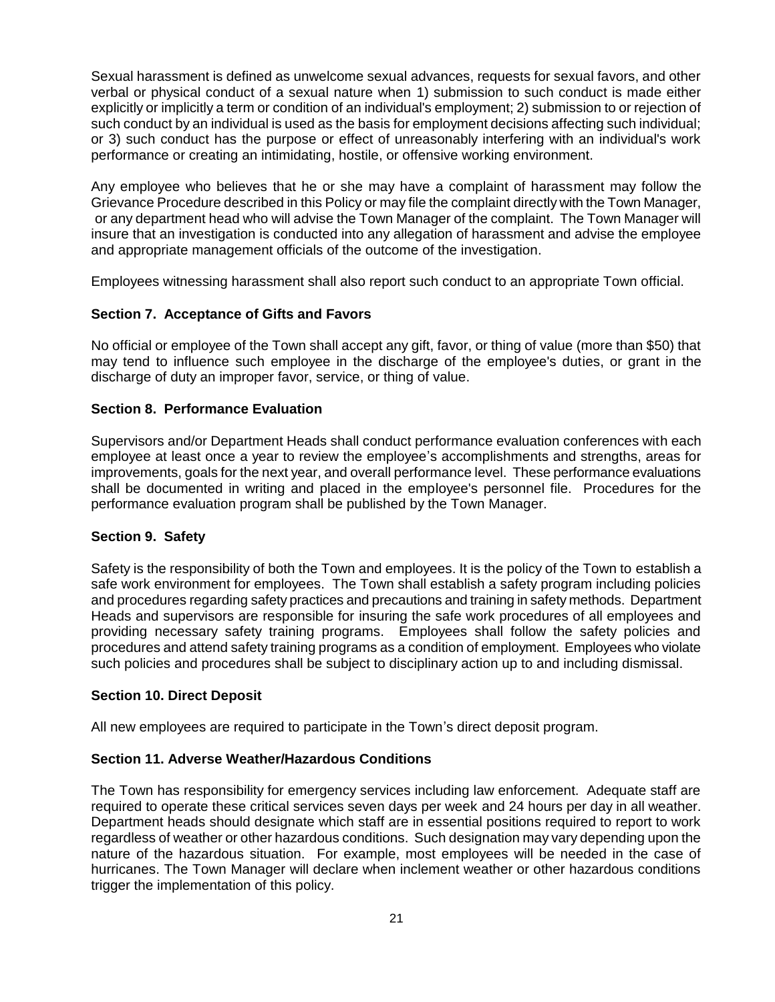Sexual harassment is defined as unwelcome sexual advances, requests for sexual favors, and other verbal or physical conduct of a sexual nature when 1) submission to such conduct is made either explicitly or implicitly a term or condition of an individual's employment; 2) submission to or rejection of such conduct by an individual is used as the basis for employment decisions affecting such individual; or 3) such conduct has the purpose or effect of unreasonably interfering with an individual's work performance or creating an intimidating, hostile, or offensive working environment.

Any employee who believes that he or she may have a complaint of harassment may follow the Grievance Procedure described in this Policy or may file the complaint directly with the Town Manager, or any department head who will advise the Town Manager of the complaint. The Town Manager will insure that an investigation is conducted into any allegation of harassment and advise the employee and appropriate management officials of the outcome of the investigation.

Employees witnessing harassment shall also report such conduct to an appropriate Town official.

### **Section 7. Acceptance of Gifts and Favors**

No official or employee of the Town shall accept any gift, favor, or thing of value (more than \$50) that may tend to influence such employee in the discharge of the employee's duties, or grant in the discharge of duty an improper favor, service, or thing of value.

### **Section 8. Performance Evaluation**

Supervisors and/or Department Heads shall conduct performance evaluation conferences with each employee at least once a year to review the employee's accomplishments and strengths, areas for improvements, goals for the next year, and overall performance level. These performance evaluations shall be documented in writing and placed in the employee's personnel file. Procedures for the performance evaluation program shall be published by the Town Manager.

### **Section 9. Safety**

Safety is the responsibility of both the Town and employees. It is the policy of the Town to establish a safe work environment for employees. The Town shall establish a safety program including policies and procedures regarding safety practices and precautions and training in safety methods. Department Heads and supervisors are responsible for insuring the safe work procedures of all employees and providing necessary safety training programs. Employees shall follow the safety policies and procedures and attend safety training programs as a condition of employment. Employees who violate such policies and procedures shall be subject to disciplinary action up to and including dismissal.

### **Section 10. Direct Deposit**

All new employees are required to participate in the Town's direct deposit program.

### **Section 11. Adverse Weather/Hazardous Conditions**

The Town has responsibility for emergency services including law enforcement. Adequate staff are required to operate these critical services seven days per week and 24 hours per day in all weather. Department heads should designate which staff are in essential positions required to report to work regardless of weather or other hazardous conditions. Such designation may vary depending upon the nature of the hazardous situation. For example, most employees will be needed in the case of hurricanes. The Town Manager will declare when inclement weather or other hazardous conditions trigger the implementation of this policy.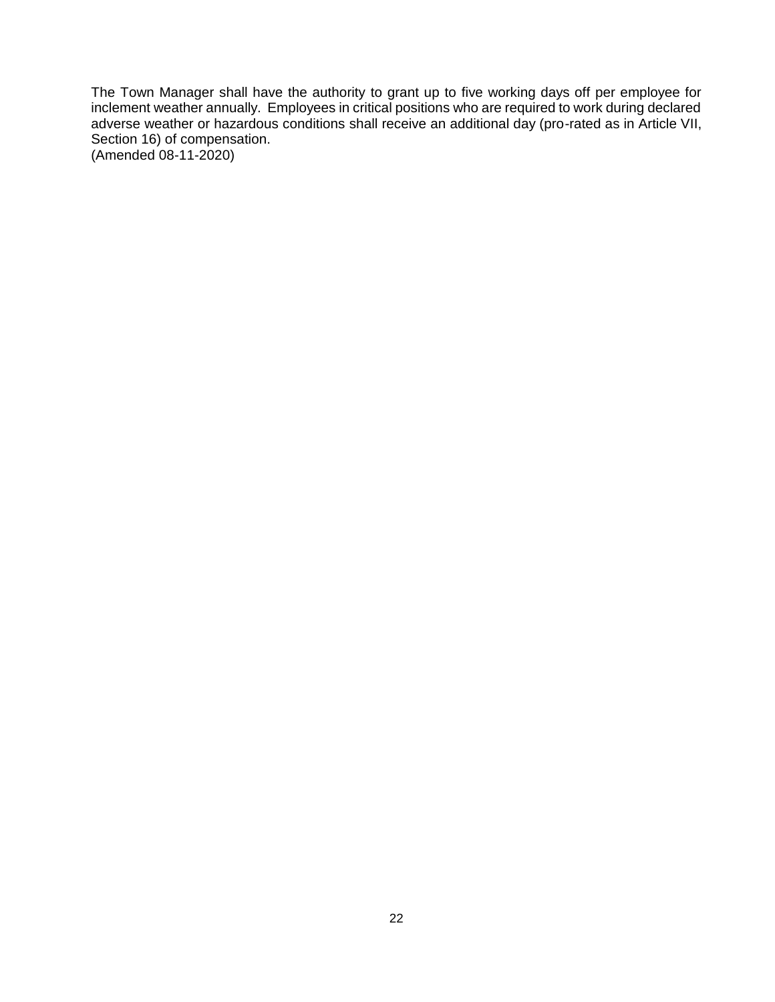The Town Manager shall have the authority to grant up to five working days off per employee for inclement weather annually. Employees in critical positions who are required to work during declared adverse weather or hazardous conditions shall receive an additional day (pro-rated as in Article VII, Section 16) of compensation. (Amended 08-11-2020)

22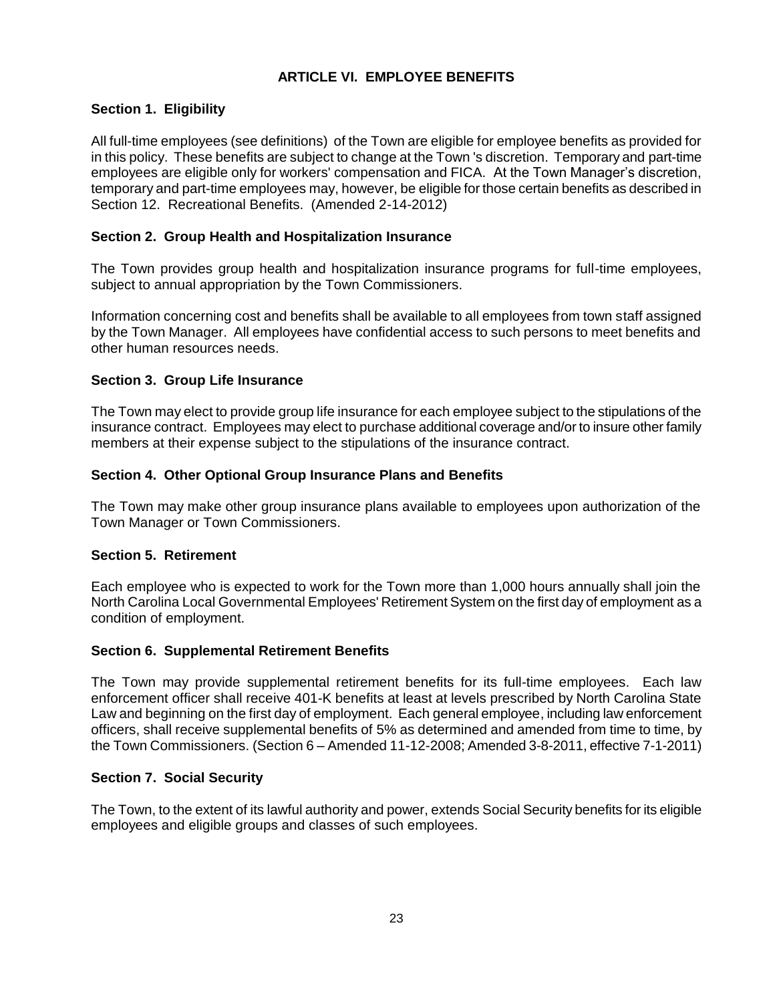# **ARTICLE VI. EMPLOYEE BENEFITS**

# **Section 1. Eligibility**

All full-time employees (see definitions) of the Town are eligible for employee benefits as provided for in this policy. These benefits are subject to change at the Town 's discretion. Temporary and part-time employees are eligible only for workers' compensation and FICA. At the Town Manager's discretion, temporary and part-time employees may, however, be eligible for those certain benefits as described in Section 12. Recreational Benefits. (Amended 2-14-2012)

## **Section 2. Group Health and Hospitalization Insurance**

The Town provides group health and hospitalization insurance programs for full-time employees, subject to annual appropriation by the Town Commissioners.

Information concerning cost and benefits shall be available to all employees from town staff assigned by the Town Manager. All employees have confidential access to such persons to meet benefits and other human resources needs.

## **Section 3. Group Life Insurance**

The Town may elect to provide group life insurance for each employee subject to the stipulations of the insurance contract. Employees may elect to purchase additional coverage and/or to insure other family members at their expense subject to the stipulations of the insurance contract.

## **Section 4. Other Optional Group Insurance Plans and Benefits**

The Town may make other group insurance plans available to employees upon authorization of the Town Manager or Town Commissioners.

### **Section 5. Retirement**

Each employee who is expected to work for the Town more than 1,000 hours annually shall join the North Carolina Local Governmental Employees' Retirement System on the first day of employment as a condition of employment.

### **Section 6. Supplemental Retirement Benefits**

The Town may provide supplemental retirement benefits for its full-time employees. Each law enforcement officer shall receive 401-K benefits at least at levels prescribed by North Carolina State Law and beginning on the first day of employment. Each general employee, including law enforcement officers, shall receive supplemental benefits of 5% as determined and amended from time to time, by the Town Commissioners. (Section 6 – Amended 11-12-2008; Amended 3-8-2011, effective 7-1-2011)

### **Section 7. Social Security**

The Town, to the extent of its lawful authority and power, extends Social Security benefits for its eligible employees and eligible groups and classes of such employees.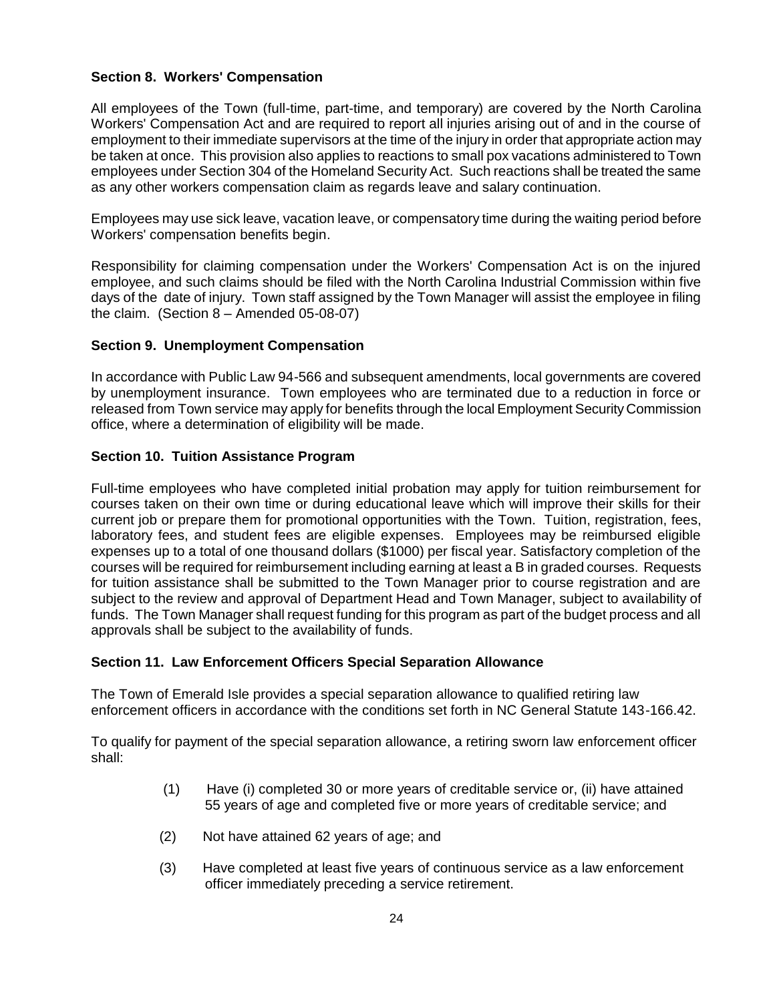## **Section 8. Workers' Compensation**

All employees of the Town (full-time, part-time, and temporary) are covered by the North Carolina Workers' Compensation Act and are required to report all injuries arising out of and in the course of employment to their immediate supervisors at the time of the injury in order that appropriate action may be taken at once. This provision also applies to reactions to small pox vacations administered to Town employees under Section 304 of the Homeland Security Act. Such reactions shall be treated the same as any other workers compensation claim as regards leave and salary continuation.

Employees may use sick leave, vacation leave, or compensatory time during the waiting period before Workers' compensation benefits begin.

Responsibility for claiming compensation under the Workers' Compensation Act is on the injured employee, and such claims should be filed with the North Carolina Industrial Commission within five days of the date of injury. Town staff assigned by the Town Manager will assist the employee in filing the claim. (Section 8 – Amended 05-08-07)

### **Section 9. Unemployment Compensation**

In accordance with Public Law 94-566 and subsequent amendments, local governments are covered by unemployment insurance. Town employees who are terminated due to a reduction in force or released from Town service may apply for benefits through the local Employment Security Commission office, where a determination of eligibility will be made.

## **Section 10. Tuition Assistance Program**

Full-time employees who have completed initial probation may apply for tuition reimbursement for courses taken on their own time or during educational leave which will improve their skills for their current job or prepare them for promotional opportunities with the Town. Tuition, registration, fees, laboratory fees, and student fees are eligible expenses. Employees may be reimbursed eligible expenses up to a total of one thousand dollars (\$1000) per fiscal year. Satisfactory completion of the courses will be required for reimbursement including earning at least a B in graded courses. Requests for tuition assistance shall be submitted to the Town Manager prior to course registration and are subject to the review and approval of Department Head and Town Manager, subject to availability of funds. The Town Manager shall request funding for this program as part of the budget process and all approvals shall be subject to the availability of funds.

### **Section 11. Law Enforcement Officers Special Separation Allowance**

The Town of Emerald Isle provides a special separation allowance to qualified retiring law enforcement officers in accordance with the conditions set forth in NC General Statute 143-166.42.

To qualify for payment of the special separation allowance, a retiring sworn law enforcement officer shall:

- (1) Have (i) completed 30 or more years of creditable service or, (ii) have attained 55 years of age and completed five or more years of creditable service; and
- (2) Not have attained 62 years of age; and
- (3) Have completed at least five years of continuous service as a law enforcement officer immediately preceding a service retirement.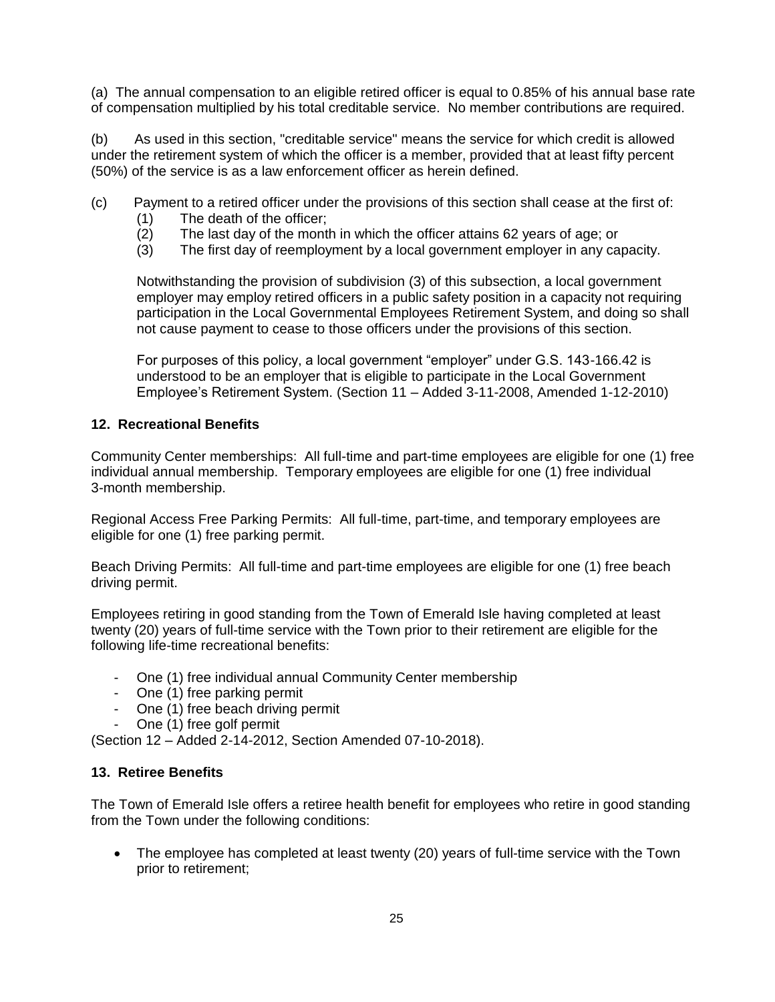(a) The annual compensation to an eligible retired officer is equal to 0.85% of his annual base rate of compensation multiplied by his total creditable service. No member contributions are required.

(b) As used in this section, "creditable service" means the service for which credit is allowed under the retirement system of which the officer is a member, provided that at least fifty percent (50%) of the service is as a law enforcement officer as herein defined.

- (c) Payment to a retired officer under the provisions of this section shall cease at the first of:
	- (1) The death of the officer;
	- (2) The last day of the month in which the officer attains 62 years of age; or
	- (3) The first day of reemployment by a local government employer in any capacity.

Notwithstanding the provision of subdivision (3) of this subsection, a local government employer may employ retired officers in a public safety position in a capacity not requiring participation in the Local Governmental Employees Retirement System, and doing so shall not cause payment to cease to those officers under the provisions of this section.

For purposes of this policy, a local government "employer" under G.S. 143-166.42 is understood to be an employer that is eligible to participate in the Local Government Employee's Retirement System. (Section 11 – Added 3-11-2008, Amended 1-12-2010)

### **12. Recreational Benefits**

Community Center memberships: All full-time and part-time employees are eligible for one (1) free individual annual membership. Temporary employees are eligible for one (1) free individual 3-month membership.

Regional Access Free Parking Permits: All full-time, part-time, and temporary employees are eligible for one (1) free parking permit.

Beach Driving Permits: All full-time and part-time employees are eligible for one (1) free beach driving permit.

Employees retiring in good standing from the Town of Emerald Isle having completed at least twenty (20) years of full-time service with the Town prior to their retirement are eligible for the following life-time recreational benefits:

- One (1) free individual annual Community Center membership
- One (1) free parking permit
- One (1) free beach driving permit
- One (1) free golf permit

(Section 12 – Added 2-14-2012, Section Amended 07-10-2018).

### **13. Retiree Benefits**

The Town of Emerald Isle offers a retiree health benefit for employees who retire in good standing from the Town under the following conditions:

 The employee has completed at least twenty (20) years of full-time service with the Town prior to retirement;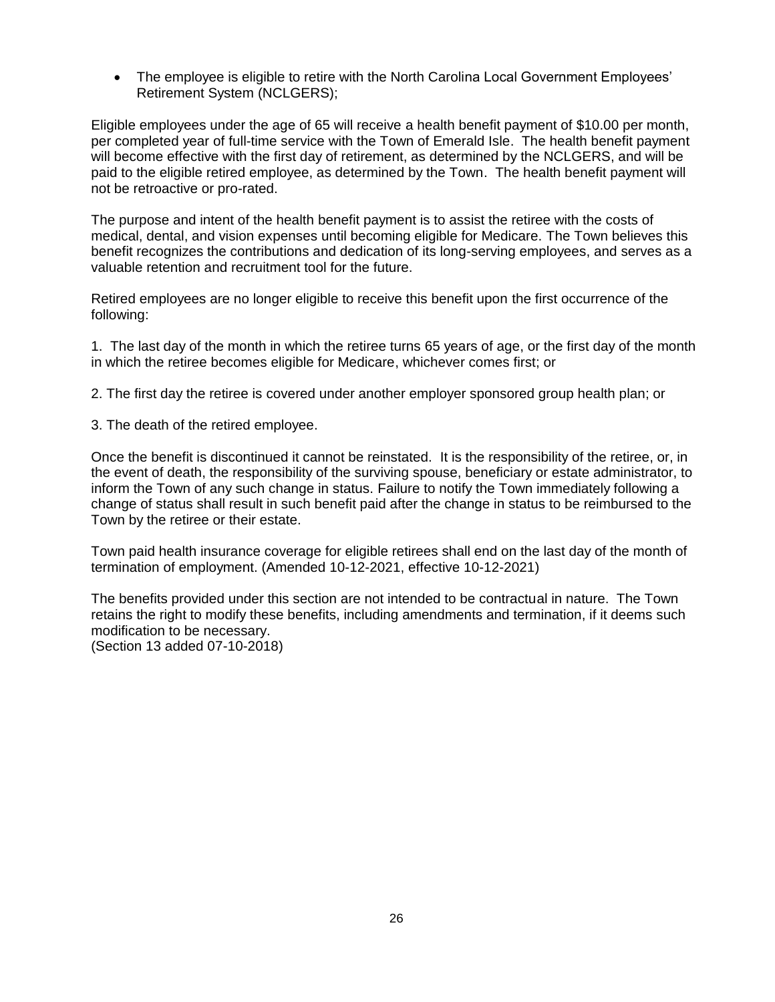• The employee is eligible to retire with the North Carolina Local Government Employees' Retirement System (NCLGERS);

Eligible employees under the age of 65 will receive a health benefit payment of \$10.00 per month, per completed year of full-time service with the Town of Emerald Isle. The health benefit payment will become effective with the first day of retirement, as determined by the NCLGERS, and will be paid to the eligible retired employee, as determined by the Town. The health benefit payment will not be retroactive or pro-rated.

The purpose and intent of the health benefit payment is to assist the retiree with the costs of medical, dental, and vision expenses until becoming eligible for Medicare. The Town believes this benefit recognizes the contributions and dedication of its long-serving employees, and serves as a valuable retention and recruitment tool for the future.

Retired employees are no longer eligible to receive this benefit upon the first occurrence of the following:

1. The last day of the month in which the retiree turns 65 years of age, or the first day of the month in which the retiree becomes eligible for Medicare, whichever comes first; or

2. The first day the retiree is covered under another employer sponsored group health plan; or

3. The death of the retired employee.

Once the benefit is discontinued it cannot be reinstated. It is the responsibility of the retiree, or, in the event of death, the responsibility of the surviving spouse, beneficiary or estate administrator, to inform the Town of any such change in status. Failure to notify the Town immediately following a change of status shall result in such benefit paid after the change in status to be reimbursed to the Town by the retiree or their estate.

Town paid health insurance coverage for eligible retirees shall end on the last day of the month of termination of employment. (Amended 10-12-2021, effective 10-12-2021)

The benefits provided under this section are not intended to be contractual in nature. The Town retains the right to modify these benefits, including amendments and termination, if it deems such modification to be necessary. (Section 13 added 07-10-2018)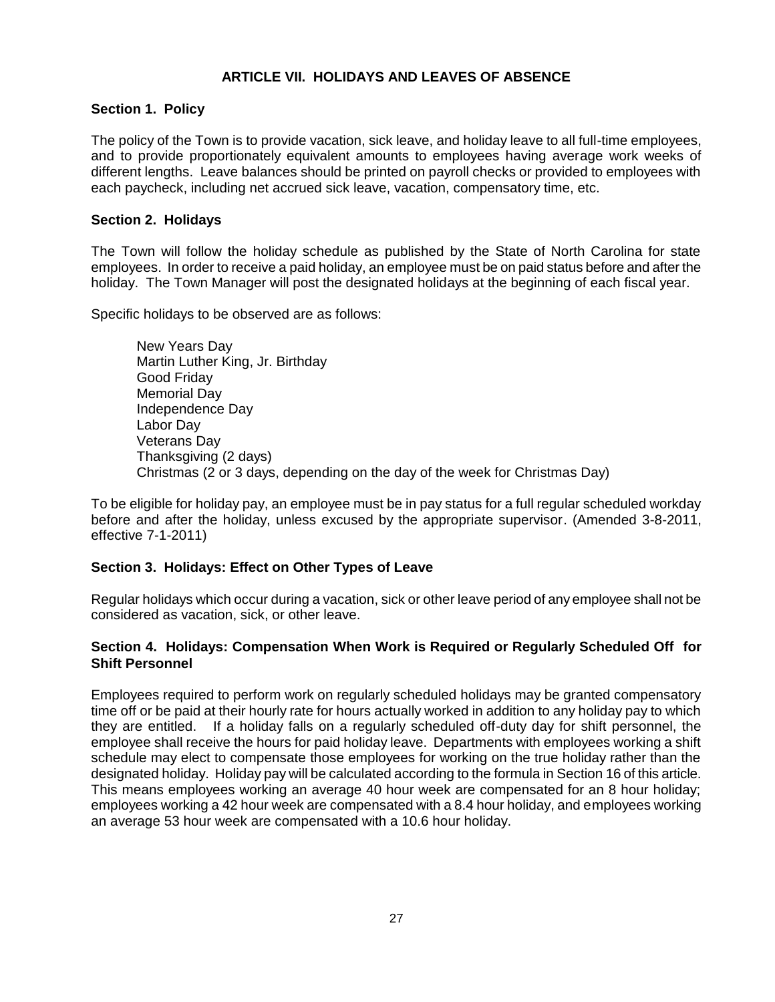# **ARTICLE VII. HOLIDAYS AND LEAVES OF ABSENCE**

## **Section 1. Policy**

The policy of the Town is to provide vacation, sick leave, and holiday leave to all full-time employees, and to provide proportionately equivalent amounts to employees having average work weeks of different lengths. Leave balances should be printed on payroll checks or provided to employees with each paycheck, including net accrued sick leave, vacation, compensatory time, etc.

## **Section 2. Holidays**

The Town will follow the holiday schedule as published by the State of North Carolina for state employees. In order to receive a paid holiday, an employee must be on paid status before and after the holiday. The Town Manager will post the designated holidays at the beginning of each fiscal year.

Specific holidays to be observed are as follows:

New Years Day Martin Luther King, Jr. Birthday Good Friday Memorial Day Independence Day Labor Day Veterans Day Thanksgiving (2 days) Christmas (2 or 3 days, depending on the day of the week for Christmas Day)

To be eligible for holiday pay, an employee must be in pay status for a full regular scheduled workday before and after the holiday, unless excused by the appropriate supervisor. (Amended 3-8-2011, effective 7-1-2011)

## **Section 3. Holidays: Effect on Other Types of Leave**

Regular holidays which occur during a vacation, sick or other leave period of any employee shall not be considered as vacation, sick, or other leave.

## **Section 4. Holidays: Compensation When Work is Required or Regularly Scheduled Off for Shift Personnel**

Employees required to perform work on regularly scheduled holidays may be granted compensatory time off or be paid at their hourly rate for hours actually worked in addition to any holiday pay to which they are entitled. If a holiday falls on a regularly scheduled off-duty day for shift personnel, the employee shall receive the hours for paid holiday leave. Departments with employees working a shift schedule may elect to compensate those employees for working on the true holiday rather than the designated holiday. Holiday pay will be calculated according to the formula in Section 16 of this article. This means employees working an average 40 hour week are compensated for an 8 hour holiday; employees working a 42 hour week are compensated with a 8.4 hour holiday, and employees working an average 53 hour week are compensated with a 10.6 hour holiday.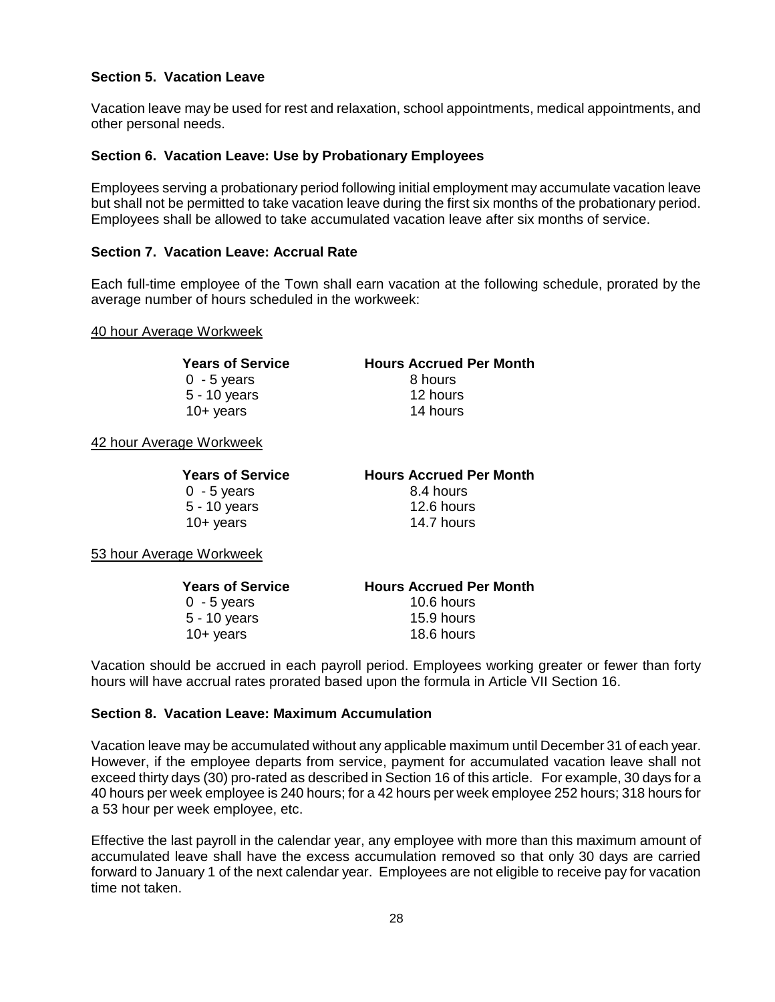## **Section 5. Vacation Leave**

Vacation leave may be used for rest and relaxation, school appointments, medical appointments, and other personal needs.

### **Section 6. Vacation Leave: Use by Probationary Employees**

Employees serving a probationary period following initial employment may accumulate vacation leave but shall not be permitted to take vacation leave during the first six months of the probationary period. Employees shall be allowed to take accumulated vacation leave after six months of service.

#### **Section 7. Vacation Leave: Accrual Rate**

Each full-time employee of the Town shall earn vacation at the following schedule, prorated by the average number of hours scheduled in the workweek:

#### 40 hour Average Workweek

**Years of Service Hours Accrued Per Month** 0 - 5 years 8 hours

5 - 10 years 12 hours 10+ years 14 hours

42 hour Average Workweek

**Years of Service Hours Accrued Per Month**  $0 - 5$  vears  $8.4$  hours 10+ years 14.7 hours

5 - 10 years 12.6 hours

53 hour Average Workweek

| <b>Years of Service</b> | <b>Hours Accrued Per Month</b> |  |
|-------------------------|--------------------------------|--|
| $0 - 5$ years           | 10.6 hours                     |  |
| $5 - 10$ years          | 15.9 hours                     |  |
| 10+ years               | 18.6 hours                     |  |

Vacation should be accrued in each payroll period. Employees working greater or fewer than forty hours will have accrual rates prorated based upon the formula in Article VII Section 16.

### **Section 8. Vacation Leave: Maximum Accumulation**

Vacation leave may be accumulated without any applicable maximum until December 31 of each year. However, if the employee departs from service, payment for accumulated vacation leave shall not exceed thirty days (30) pro-rated as described in Section 16 of this article. For example, 30 days for a 40 hours per week employee is 240 hours; for a 42 hours per week employee 252 hours; 318 hours for a 53 hour per week employee, etc.

Effective the last payroll in the calendar year, any employee with more than this maximum amount of accumulated leave shall have the excess accumulation removed so that only 30 days are carried forward to January 1 of the next calendar year. Employees are not eligible to receive pay for vacation time not taken.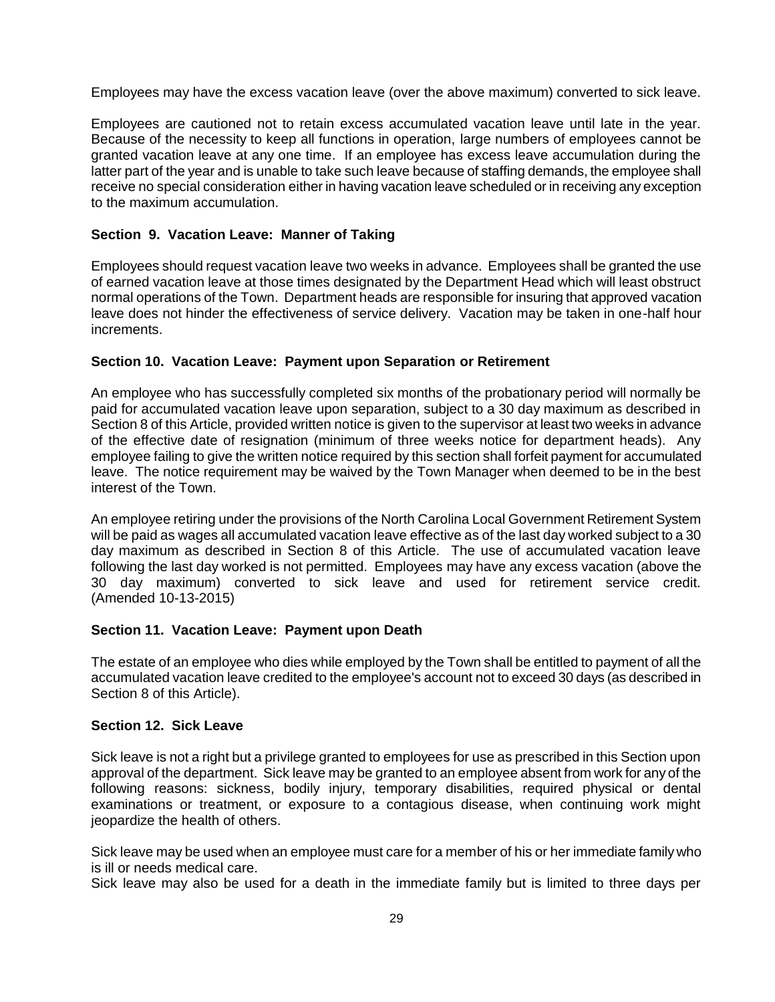Employees may have the excess vacation leave (over the above maximum) converted to sick leave.

Employees are cautioned not to retain excess accumulated vacation leave until late in the year. Because of the necessity to keep all functions in operation, large numbers of employees cannot be granted vacation leave at any one time. If an employee has excess leave accumulation during the latter part of the year and is unable to take such leave because of staffing demands, the employee shall receive no special consideration either in having vacation leave scheduled or in receiving any exception to the maximum accumulation.

## **Section 9. Vacation Leave: Manner of Taking**

Employees should request vacation leave two weeks in advance. Employees shall be granted the use of earned vacation leave at those times designated by the Department Head which will least obstruct normal operations of the Town. Department heads are responsible for insuring that approved vacation leave does not hinder the effectiveness of service delivery. Vacation may be taken in one-half hour increments.

## **Section 10. Vacation Leave: Payment upon Separation or Retirement**

An employee who has successfully completed six months of the probationary period will normally be paid for accumulated vacation leave upon separation, subject to a 30 day maximum as described in Section 8 of this Article, provided written notice is given to the supervisor at least two weeks in advance of the effective date of resignation (minimum of three weeks notice for department heads). Any employee failing to give the written notice required by this section shall forfeit payment for accumulated leave. The notice requirement may be waived by the Town Manager when deemed to be in the best interest of the Town.

An employee retiring under the provisions of the North Carolina Local Government Retirement System will be paid as wages all accumulated vacation leave effective as of the last day worked subject to a 30 day maximum as described in Section 8 of this Article. The use of accumulated vacation leave following the last day worked is not permitted. Employees may have any excess vacation (above the 30 day maximum) converted to sick leave and used for retirement service credit. (Amended 10-13-2015)

### **Section 11. Vacation Leave: Payment upon Death**

The estate of an employee who dies while employed by the Town shall be entitled to payment of all the accumulated vacation leave credited to the employee's account not to exceed 30 days (as described in Section 8 of this Article).

### **Section 12. Sick Leave**

Sick leave is not a right but a privilege granted to employees for use as prescribed in this Section upon approval of the department. Sick leave may be granted to an employee absent from work for any of the following reasons: sickness, bodily injury, temporary disabilities, required physical or dental examinations or treatment, or exposure to a contagious disease, when continuing work might jeopardize the health of others.

Sick leave may be used when an employee must care for a member of his or her immediate family who is ill or needs medical care.

Sick leave may also be used for a death in the immediate family but is limited to three days per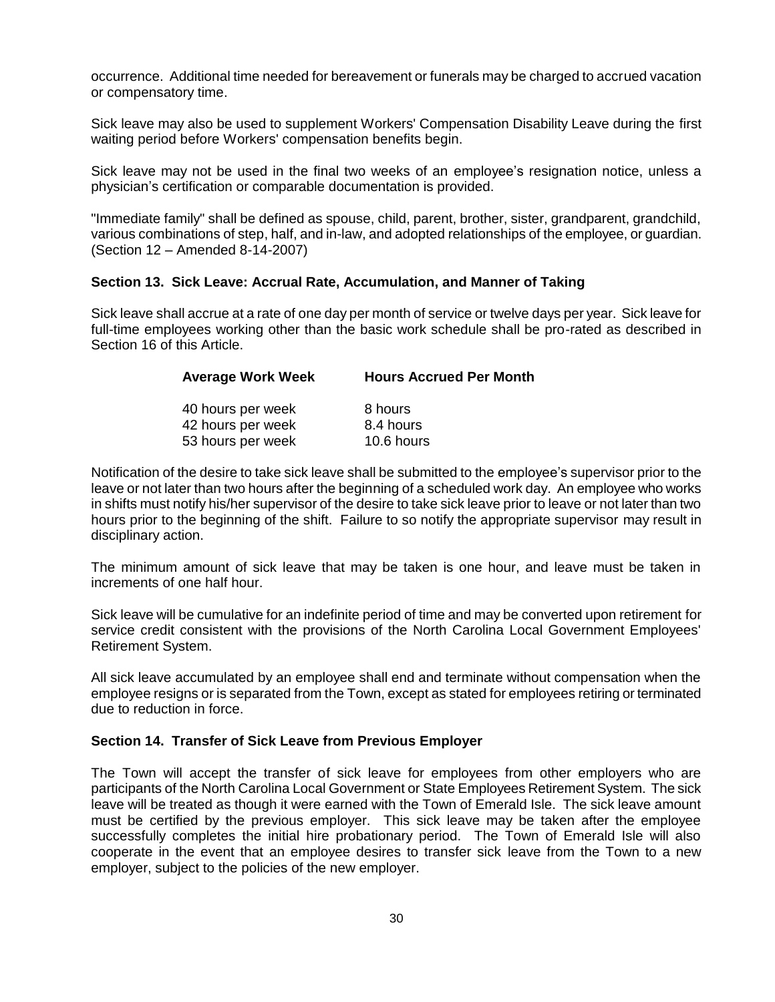occurrence. Additional time needed for bereavement or funerals may be charged to accrued vacation or compensatory time.

Sick leave may also be used to supplement Workers' Compensation Disability Leave during the first waiting period before Workers' compensation benefits begin.

Sick leave may not be used in the final two weeks of an employee's resignation notice, unless a physician's certification or comparable documentation is provided.

"Immediate family" shall be defined as spouse, child, parent, brother, sister, grandparent, grandchild, various combinations of step, half, and in-law, and adopted relationships of the employee, or guardian. (Section 12 – Amended 8-14-2007)

#### **Section 13. Sick Leave: Accrual Rate, Accumulation, and Manner of Taking**

Sick leave shall accrue at a rate of one day per month of service or twelve days per year. Sick leave for full-time employees working other than the basic work schedule shall be pro-rated as described in Section 16 of this Article.

| <b>Average Work Week</b> | <b>Hours Accrued Per Month</b> |  |
|--------------------------|--------------------------------|--|
| 40 hours per week        | 8 hours                        |  |
| 42 hours per week        | 8.4 hours                      |  |
| 53 hours per week        | 10.6 hours                     |  |

Notification of the desire to take sick leave shall be submitted to the employee's supervisor prior to the leave or not later than two hours after the beginning of a scheduled work day. An employee who works in shifts must notify his/her supervisor of the desire to take sick leave prior to leave or not later than two hours prior to the beginning of the shift. Failure to so notify the appropriate supervisor may result in disciplinary action.

The minimum amount of sick leave that may be taken is one hour, and leave must be taken in increments of one half hour.

Sick leave will be cumulative for an indefinite period of time and may be converted upon retirement for service credit consistent with the provisions of the North Carolina Local Government Employees' Retirement System.

All sick leave accumulated by an employee shall end and terminate without compensation when the employee resigns or is separated from the Town, except as stated for employees retiring or terminated due to reduction in force.

#### **Section 14. Transfer of Sick Leave from Previous Employer**

The Town will accept the transfer of sick leave for employees from other employers who are participants of the North Carolina Local Government or State Employees Retirement System. The sick leave will be treated as though it were earned with the Town of Emerald Isle. The sick leave amount must be certified by the previous employer. This sick leave may be taken after the employee successfully completes the initial hire probationary period. The Town of Emerald Isle will also cooperate in the event that an employee desires to transfer sick leave from the Town to a new employer, subject to the policies of the new employer.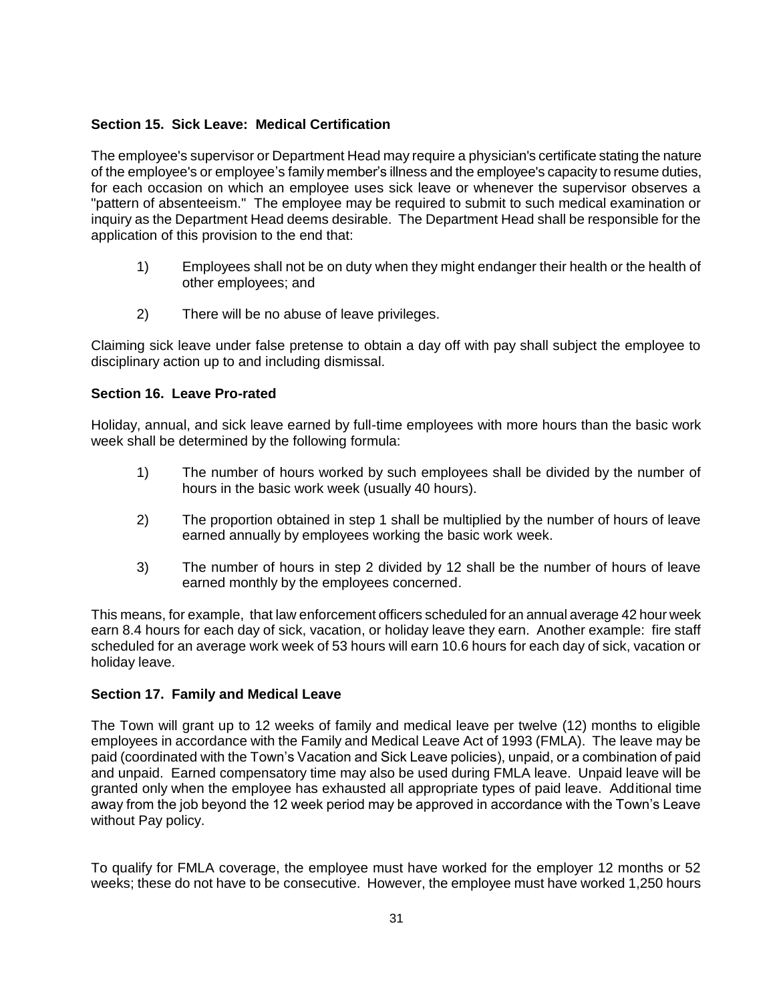## **Section 15. Sick Leave: Medical Certification**

The employee's supervisor or Department Head may require a physician's certificate stating the nature of the employee's or employee's family member's illness and the employee's capacity to resume duties, for each occasion on which an employee uses sick leave or whenever the supervisor observes a "pattern of absenteeism." The employee may be required to submit to such medical examination or inquiry as the Department Head deems desirable. The Department Head shall be responsible for the application of this provision to the end that:

- 1) Employees shall not be on duty when they might endanger their health or the health of other employees; and
- 2) There will be no abuse of leave privileges.

Claiming sick leave under false pretense to obtain a day off with pay shall subject the employee to disciplinary action up to and including dismissal.

## **Section 16. Leave Pro-rated**

Holiday, annual, and sick leave earned by full-time employees with more hours than the basic work week shall be determined by the following formula:

- 1) The number of hours worked by such employees shall be divided by the number of hours in the basic work week (usually 40 hours).
- 2) The proportion obtained in step 1 shall be multiplied by the number of hours of leave earned annually by employees working the basic work week.
- 3) The number of hours in step 2 divided by 12 shall be the number of hours of leave earned monthly by the employees concerned.

This means, for example, that law enforcement officers scheduled for an annual average 42 hour week earn 8.4 hours for each day of sick, vacation, or holiday leave they earn. Another example: fire staff scheduled for an average work week of 53 hours will earn 10.6 hours for each day of sick, vacation or holiday leave.

## **Section 17. Family and Medical Leave**

The Town will grant up to 12 weeks of family and medical leave per twelve (12) months to eligible employees in accordance with the Family and Medical Leave Act of 1993 (FMLA). The leave may be paid (coordinated with the Town's Vacation and Sick Leave policies), unpaid, or a combination of paid and unpaid. Earned compensatory time may also be used during FMLA leave. Unpaid leave will be granted only when the employee has exhausted all appropriate types of paid leave. Additional time away from the job beyond the 12 week period may be approved in accordance with the Town's Leave without Pay policy.

To qualify for FMLA coverage, the employee must have worked for the employer 12 months or 52 weeks; these do not have to be consecutive. However, the employee must have worked 1,250 hours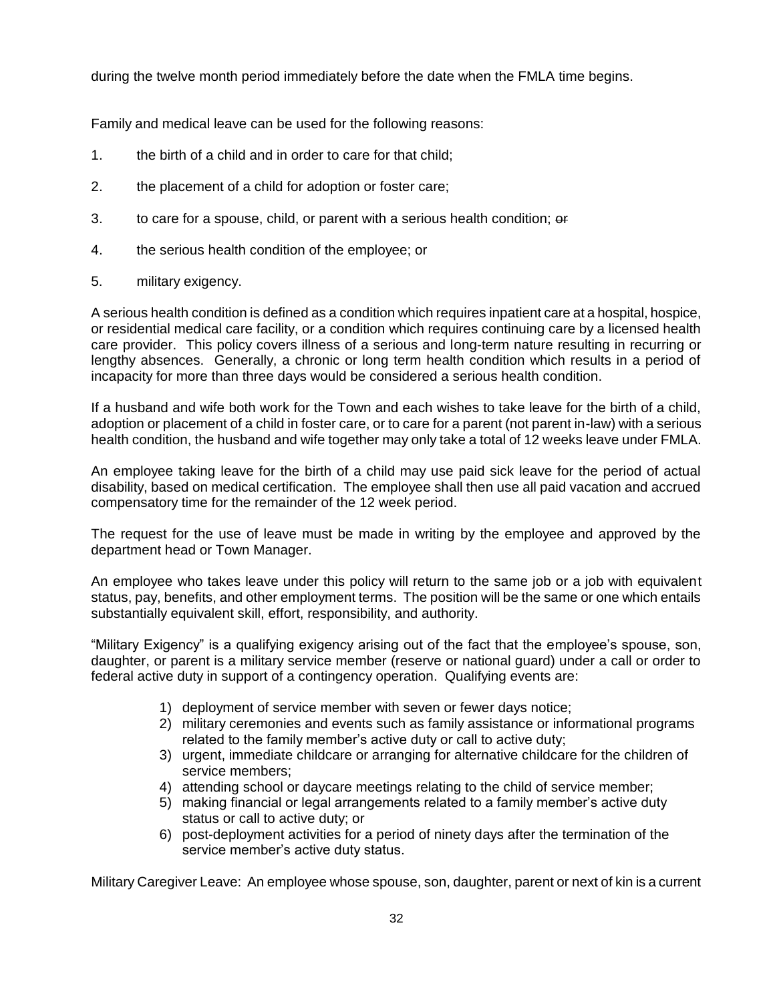during the twelve month period immediately before the date when the FMLA time begins.

Family and medical leave can be used for the following reasons:

- 1. the birth of a child and in order to care for that child;
- 2. the placement of a child for adoption or foster care;
- 3. to care for a spouse, child, or parent with a serious health condition; or
- 4. the serious health condition of the employee; or
- 5. military exigency.

A serious health condition is defined as a condition which requires inpatient care at a hospital, hospice, or residential medical care facility, or a condition which requires continuing care by a licensed health care provider. This policy covers illness of a serious and long-term nature resulting in recurring or lengthy absences. Generally, a chronic or long term health condition which results in a period of incapacity for more than three days would be considered a serious health condition.

If a husband and wife both work for the Town and each wishes to take leave for the birth of a child, adoption or placement of a child in foster care, or to care for a parent (not parent in-law) with a serious health condition, the husband and wife together may only take a total of 12 weeks leave under FMLA.

An employee taking leave for the birth of a child may use paid sick leave for the period of actual disability, based on medical certification. The employee shall then use all paid vacation and accrued compensatory time for the remainder of the 12 week period.

The request for the use of leave must be made in writing by the employee and approved by the department head or Town Manager.

An employee who takes leave under this policy will return to the same job or a job with equivalent status, pay, benefits, and other employment terms. The position will be the same or one which entails substantially equivalent skill, effort, responsibility, and authority.

"Military Exigency" is a qualifying exigency arising out of the fact that the employee's spouse, son, daughter, or parent is a military service member (reserve or national guard) under a call or order to federal active duty in support of a contingency operation. Qualifying events are:

- 1) deployment of service member with seven or fewer days notice;
- 2) military ceremonies and events such as family assistance or informational programs related to the family member's active duty or call to active duty;
- 3) urgent, immediate childcare or arranging for alternative childcare for the children of service members;
- 4) attending school or daycare meetings relating to the child of service member;
- 5) making financial or legal arrangements related to a family member's active duty status or call to active duty; or
- 6) post-deployment activities for a period of ninety days after the termination of the service member's active duty status.

Military Caregiver Leave: An employee whose spouse, son, daughter, parent or next of kin is a current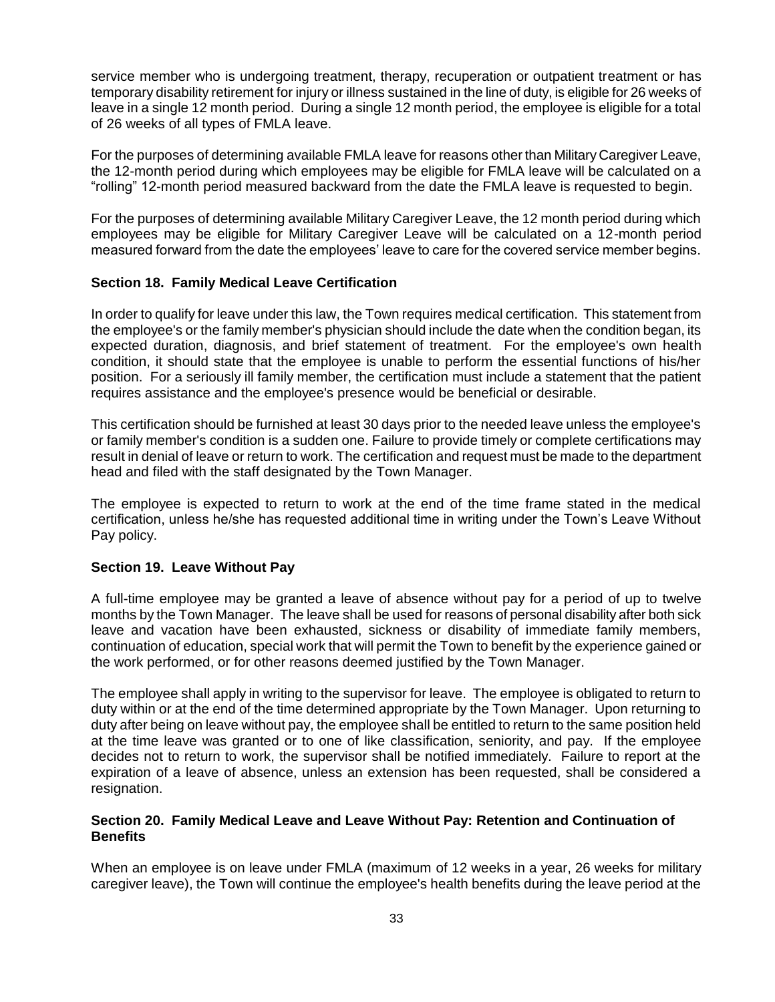service member who is undergoing treatment, therapy, recuperation or outpatient treatment or has temporary disability retirement for injury or illness sustained in the line of duty, is eligible for 26 weeks of leave in a single 12 month period. During a single 12 month period, the employee is eligible for a total of 26 weeks of all types of FMLA leave.

For the purposes of determining available FMLA leave for reasons other than Military Caregiver Leave, the 12-month period during which employees may be eligible for FMLA leave will be calculated on a "rolling" 12-month period measured backward from the date the FMLA leave is requested to begin.

For the purposes of determining available Military Caregiver Leave, the 12 month period during which employees may be eligible for Military Caregiver Leave will be calculated on a 12-month period measured forward from the date the employees' leave to care for the covered service member begins.

#### **Section 18. Family Medical Leave Certification**

In order to qualify for leave under this law, the Town requires medical certification. This statement from the employee's or the family member's physician should include the date when the condition began, its expected duration, diagnosis, and brief statement of treatment. For the employee's own health condition, it should state that the employee is unable to perform the essential functions of his/her position. For a seriously ill family member, the certification must include a statement that the patient requires assistance and the employee's presence would be beneficial or desirable.

This certification should be furnished at least 30 days prior to the needed leave unless the employee's or family member's condition is a sudden one. Failure to provide timely or complete certifications may result in denial of leave or return to work. The certification and request must be made to the department head and filed with the staff designated by the Town Manager.

The employee is expected to return to work at the end of the time frame stated in the medical certification, unless he/she has requested additional time in writing under the Town's Leave Without Pay policy.

#### **Section 19. Leave Without Pay**

A full-time employee may be granted a leave of absence without pay for a period of up to twelve months by the Town Manager. The leave shall be used for reasons of personal disability after both sick leave and vacation have been exhausted, sickness or disability of immediate family members, continuation of education, special work that will permit the Town to benefit by the experience gained or the work performed, or for other reasons deemed justified by the Town Manager.

The employee shall apply in writing to the supervisor for leave. The employee is obligated to return to duty within or at the end of the time determined appropriate by the Town Manager. Upon returning to duty after being on leave without pay, the employee shall be entitled to return to the same position held at the time leave was granted or to one of like classification, seniority, and pay. If the employee decides not to return to work, the supervisor shall be notified immediately. Failure to report at the expiration of a leave of absence, unless an extension has been requested, shall be considered a resignation.

### **Section 20. Family Medical Leave and Leave Without Pay: Retention and Continuation of Benefits**

When an employee is on leave under FMLA (maximum of 12 weeks in a year, 26 weeks for military caregiver leave), the Town will continue the employee's health benefits during the leave period at the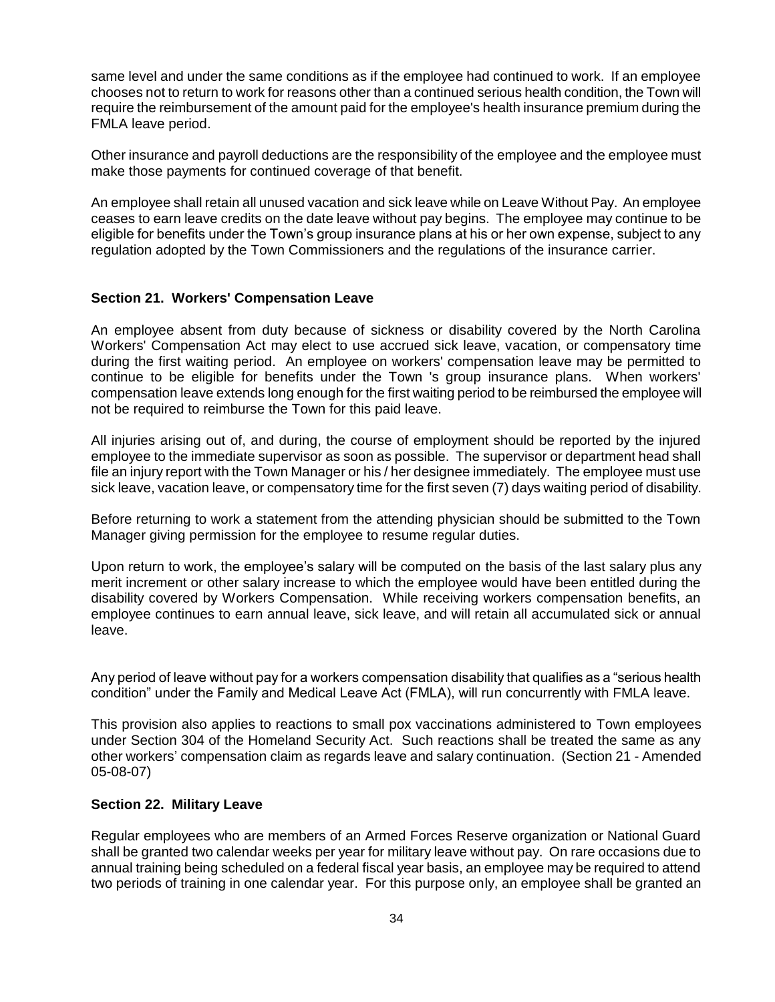same level and under the same conditions as if the employee had continued to work. If an employee chooses not to return to work for reasons other than a continued serious health condition, the Town will require the reimbursement of the amount paid for the employee's health insurance premium during the FMLA leave period.

Other insurance and payroll deductions are the responsibility of the employee and the employee must make those payments for continued coverage of that benefit.

An employee shall retain all unused vacation and sick leave while on Leave Without Pay. An employee ceases to earn leave credits on the date leave without pay begins. The employee may continue to be eligible for benefits under the Town's group insurance plans at his or her own expense, subject to any regulation adopted by the Town Commissioners and the regulations of the insurance carrier.

#### **Section 21. Workers' Compensation Leave**

An employee absent from duty because of sickness or disability covered by the North Carolina Workers' Compensation Act may elect to use accrued sick leave, vacation, or compensatory time during the first waiting period. An employee on workers' compensation leave may be permitted to continue to be eligible for benefits under the Town 's group insurance plans. When workers' compensation leave extends long enough for the first waiting period to be reimbursed the employee will not be required to reimburse the Town for this paid leave.

All injuries arising out of, and during, the course of employment should be reported by the injured employee to the immediate supervisor as soon as possible. The supervisor or department head shall file an injury report with the Town Manager or his / her designee immediately. The employee must use sick leave, vacation leave, or compensatory time for the first seven (7) days waiting period of disability.

Before returning to work a statement from the attending physician should be submitted to the Town Manager giving permission for the employee to resume regular duties.

Upon return to work, the employee's salary will be computed on the basis of the last salary plus any merit increment or other salary increase to which the employee would have been entitled during the disability covered by Workers Compensation. While receiving workers compensation benefits, an employee continues to earn annual leave, sick leave, and will retain all accumulated sick or annual leave.

Any period of leave without pay for a workers compensation disability that qualifies as a "serious health condition" under the Family and Medical Leave Act (FMLA), will run concurrently with FMLA leave.

This provision also applies to reactions to small pox vaccinations administered to Town employees under Section 304 of the Homeland Security Act. Such reactions shall be treated the same as any other workers' compensation claim as regards leave and salary continuation. (Section 21 - Amended 05-08-07)

#### **Section 22. Military Leave**

Regular employees who are members of an Armed Forces Reserve organization or National Guard shall be granted two calendar weeks per year for military leave without pay. On rare occasions due to annual training being scheduled on a federal fiscal year basis, an employee may be required to attend two periods of training in one calendar year. For this purpose only, an employee shall be granted an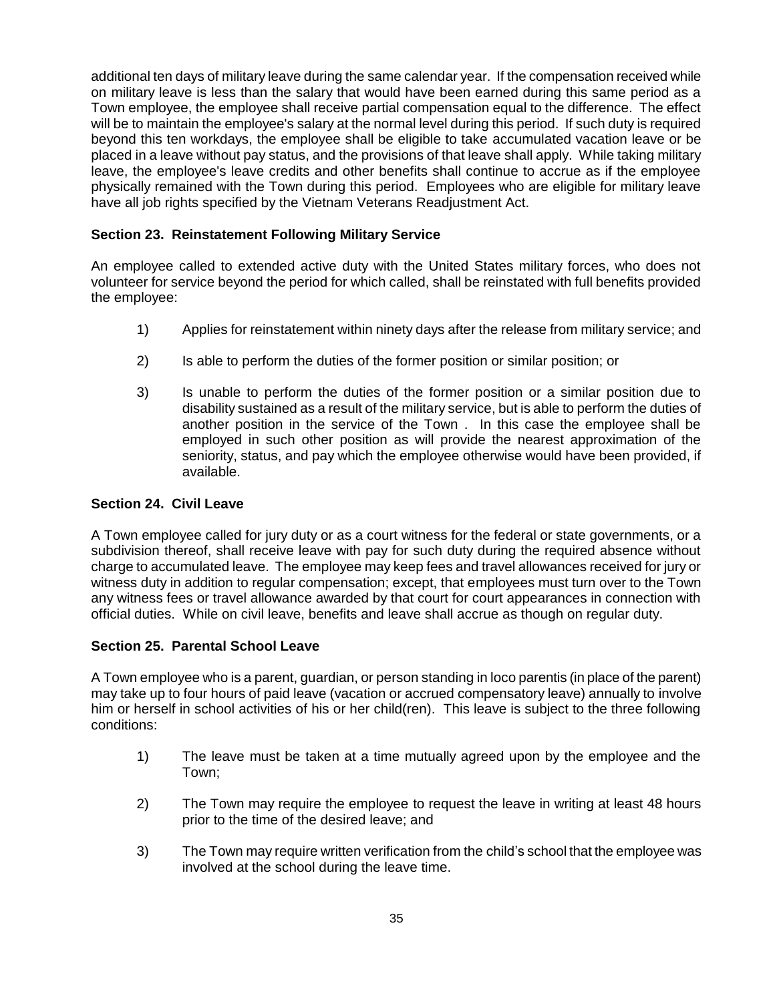additional ten days of military leave during the same calendar year. If the compensation received while on military leave is less than the salary that would have been earned during this same period as a Town employee, the employee shall receive partial compensation equal to the difference. The effect will be to maintain the employee's salary at the normal level during this period. If such duty is required beyond this ten workdays, the employee shall be eligible to take accumulated vacation leave or be placed in a leave without pay status, and the provisions of that leave shall apply. While taking military leave, the employee's leave credits and other benefits shall continue to accrue as if the employee physically remained with the Town during this period. Employees who are eligible for military leave have all job rights specified by the Vietnam Veterans Readjustment Act.

## **Section 23. Reinstatement Following Military Service**

An employee called to extended active duty with the United States military forces, who does not volunteer for service beyond the period for which called, shall be reinstated with full benefits provided the employee:

- 1) Applies for reinstatement within ninety days after the release from military service; and
- 2) Is able to perform the duties of the former position or similar position; or
- 3) Is unable to perform the duties of the former position or a similar position due to disability sustained as a result of the military service, but is able to perform the duties of another position in the service of the Town . In this case the employee shall be employed in such other position as will provide the nearest approximation of the seniority, status, and pay which the employee otherwise would have been provided, if available.

### **Section 24. Civil Leave**

A Town employee called for jury duty or as a court witness for the federal or state governments, or a subdivision thereof, shall receive leave with pay for such duty during the required absence without charge to accumulated leave. The employee may keep fees and travel allowances received for jury or witness duty in addition to regular compensation; except, that employees must turn over to the Town any witness fees or travel allowance awarded by that court for court appearances in connection with official duties. While on civil leave, benefits and leave shall accrue as though on regular duty.

## **Section 25. Parental School Leave**

A Town employee who is a parent, guardian, or person standing in loco parentis (in place of the parent) may take up to four hours of paid leave (vacation or accrued compensatory leave) annually to involve him or herself in school activities of his or her child(ren). This leave is subject to the three following conditions:

- 1) The leave must be taken at a time mutually agreed upon by the employee and the Town;
- 2) The Town may require the employee to request the leave in writing at least 48 hours prior to the time of the desired leave; and
- 3) The Town may require written verification from the child's school that the employee was involved at the school during the leave time.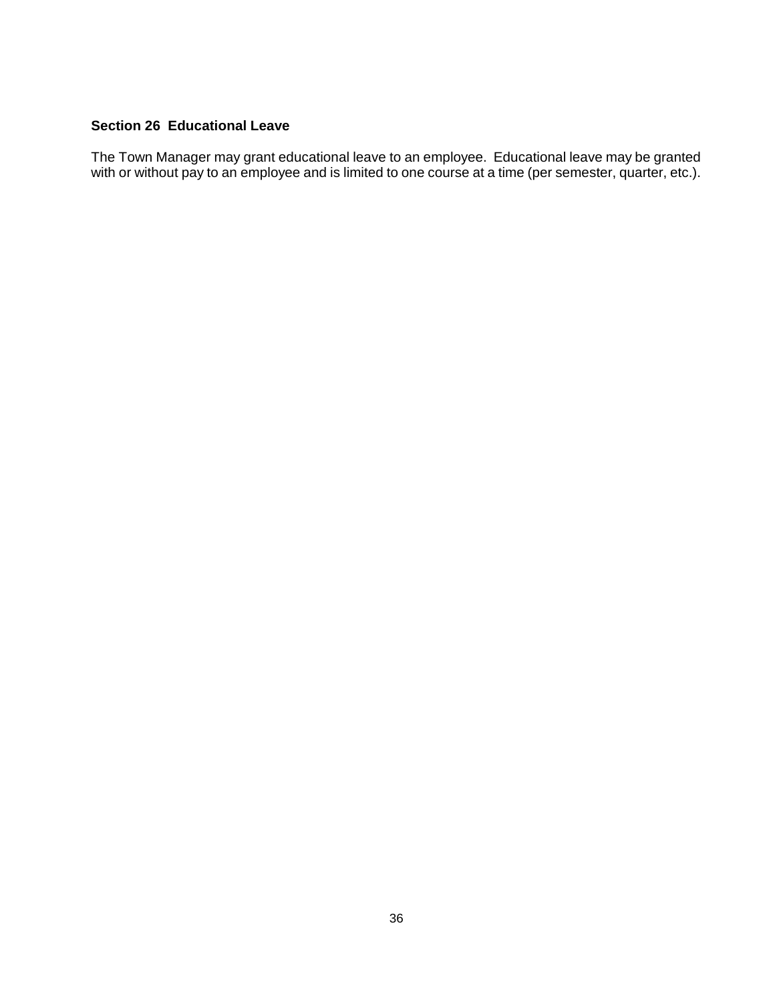### **Section 26 Educational Leave**

The Town Manager may grant educational leave to an employee. Educational leave may be granted with or without pay to an employee and is limited to one course at a time (per semester, quarter, etc.).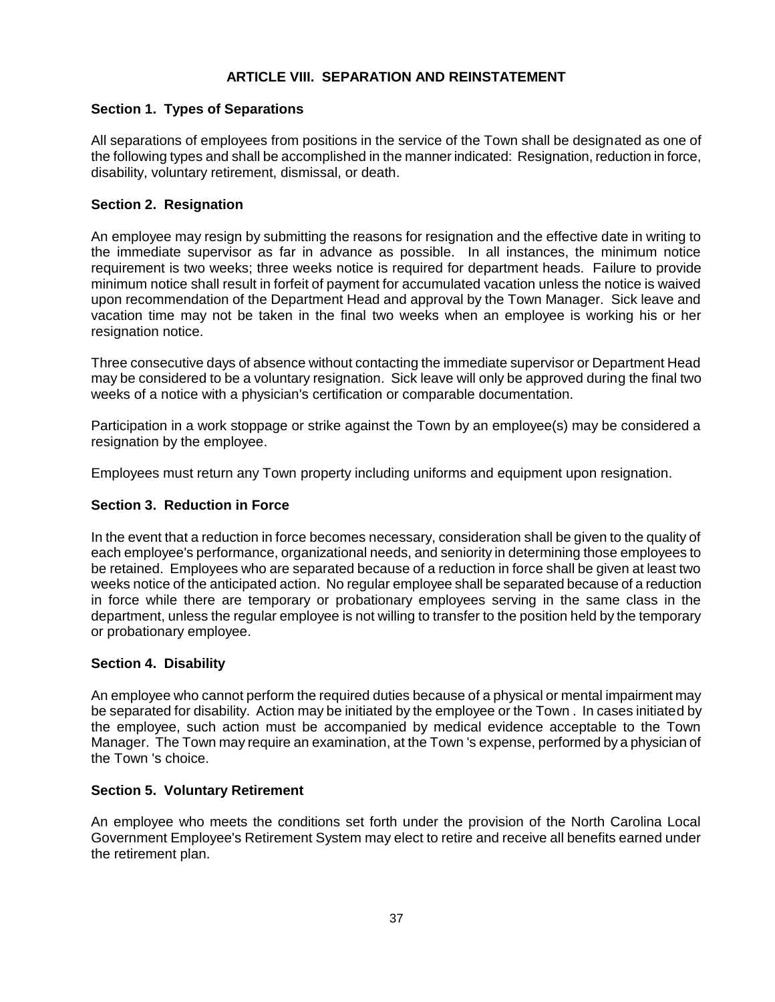# **ARTICLE VIII. SEPARATION AND REINSTATEMENT**

## **Section 1. Types of Separations**

All separations of employees from positions in the service of the Town shall be designated as one of the following types and shall be accomplished in the manner indicated: Resignation, reduction in force, disability, voluntary retirement, dismissal, or death.

## **Section 2. Resignation**

An employee may resign by submitting the reasons for resignation and the effective date in writing to the immediate supervisor as far in advance as possible. In all instances, the minimum notice requirement is two weeks; three weeks notice is required for department heads. Failure to provide minimum notice shall result in forfeit of payment for accumulated vacation unless the notice is waived upon recommendation of the Department Head and approval by the Town Manager. Sick leave and vacation time may not be taken in the final two weeks when an employee is working his or her resignation notice.

Three consecutive days of absence without contacting the immediate supervisor or Department Head may be considered to be a voluntary resignation. Sick leave will only be approved during the final two weeks of a notice with a physician's certification or comparable documentation.

Participation in a work stoppage or strike against the Town by an employee(s) may be considered a resignation by the employee.

Employees must return any Town property including uniforms and equipment upon resignation.

### **Section 3. Reduction in Force**

In the event that a reduction in force becomes necessary, consideration shall be given to the quality of each employee's performance, organizational needs, and seniority in determining those employees to be retained. Employees who are separated because of a reduction in force shall be given at least two weeks notice of the anticipated action. No regular employee shall be separated because of a reduction in force while there are temporary or probationary employees serving in the same class in the department, unless the regular employee is not willing to transfer to the position held by the temporary or probationary employee.

### **Section 4. Disability**

An employee who cannot perform the required duties because of a physical or mental impairment may be separated for disability. Action may be initiated by the employee or the Town . In cases initiated by the employee, such action must be accompanied by medical evidence acceptable to the Town Manager. The Town may require an examination, at the Town 's expense, performed by a physician of the Town 's choice.

### **Section 5. Voluntary Retirement**

An employee who meets the conditions set forth under the provision of the North Carolina Local Government Employee's Retirement System may elect to retire and receive all benefits earned under the retirement plan.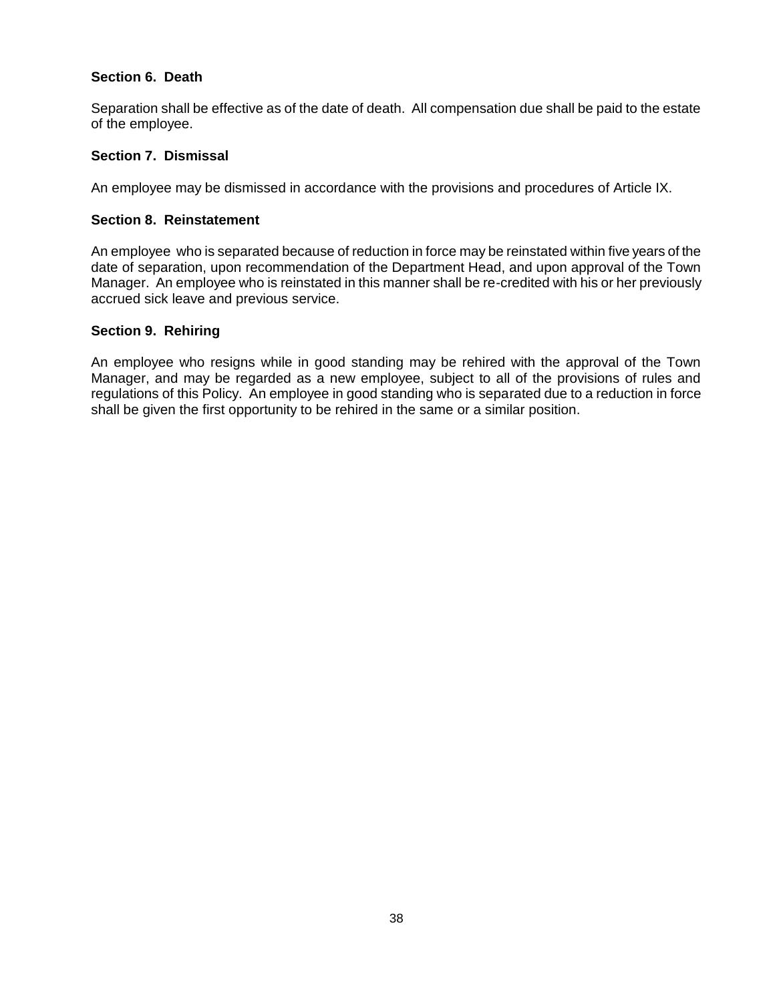## **Section 6. Death**

Separation shall be effective as of the date of death. All compensation due shall be paid to the estate of the employee.

## **Section 7. Dismissal**

An employee may be dismissed in accordance with the provisions and procedures of Article IX.

### **Section 8. Reinstatement**

An employee who is separated because of reduction in force may be reinstated within five years of the date of separation, upon recommendation of the Department Head, and upon approval of the Town Manager. An employee who is reinstated in this manner shall be re-credited with his or her previously accrued sick leave and previous service.

## **Section 9. Rehiring**

An employee who resigns while in good standing may be rehired with the approval of the Town Manager, and may be regarded as a new employee, subject to all of the provisions of rules and regulations of this Policy. An employee in good standing who is separated due to a reduction in force shall be given the first opportunity to be rehired in the same or a similar position.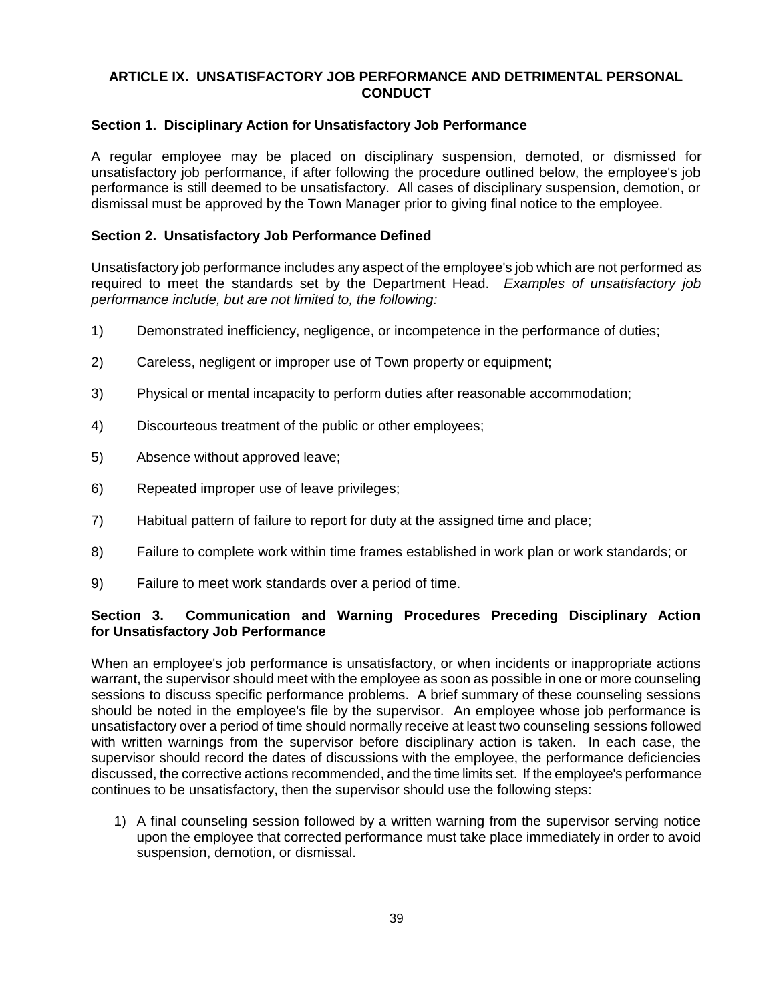## **ARTICLE IX. UNSATISFACTORY JOB PERFORMANCE AND DETRIMENTAL PERSONAL CONDUCT**

### **Section 1. Disciplinary Action for Unsatisfactory Job Performance**

A regular employee may be placed on disciplinary suspension, demoted, or dismissed for unsatisfactory job performance, if after following the procedure outlined below, the employee's job performance is still deemed to be unsatisfactory. All cases of disciplinary suspension, demotion, or dismissal must be approved by the Town Manager prior to giving final notice to the employee.

### **Section 2. Unsatisfactory Job Performance Defined**

Unsatisfactory job performance includes any aspect of the employee's job which are not performed as required to meet the standards set by the Department Head. *Examples of unsatisfactory job performance include, but are not limited to, the following:*

- 1) Demonstrated inefficiency, negligence, or incompetence in the performance of duties;
- 2) Careless, negligent or improper use of Town property or equipment;
- 3) Physical or mental incapacity to perform duties after reasonable accommodation;
- 4) Discourteous treatment of the public or other employees;
- 5) Absence without approved leave;
- 6) Repeated improper use of leave privileges;
- 7) Habitual pattern of failure to report for duty at the assigned time and place;
- 8) Failure to complete work within time frames established in work plan or work standards; or
- 9) Failure to meet work standards over a period of time.

### **Section 3. Communication and Warning Procedures Preceding Disciplinary Action for Unsatisfactory Job Performance**

When an employee's job performance is unsatisfactory, or when incidents or inappropriate actions warrant, the supervisor should meet with the employee as soon as possible in one or more counseling sessions to discuss specific performance problems. A brief summary of these counseling sessions should be noted in the employee's file by the supervisor. An employee whose job performance is unsatisfactory over a period of time should normally receive at least two counseling sessions followed with written warnings from the supervisor before disciplinary action is taken. In each case, the supervisor should record the dates of discussions with the employee, the performance deficiencies discussed, the corrective actions recommended, and the time limits set. If the employee's performance continues to be unsatisfactory, then the supervisor should use the following steps:

1) A final counseling session followed by a written warning from the supervisor serving notice upon the employee that corrected performance must take place immediately in order to avoid suspension, demotion, or dismissal.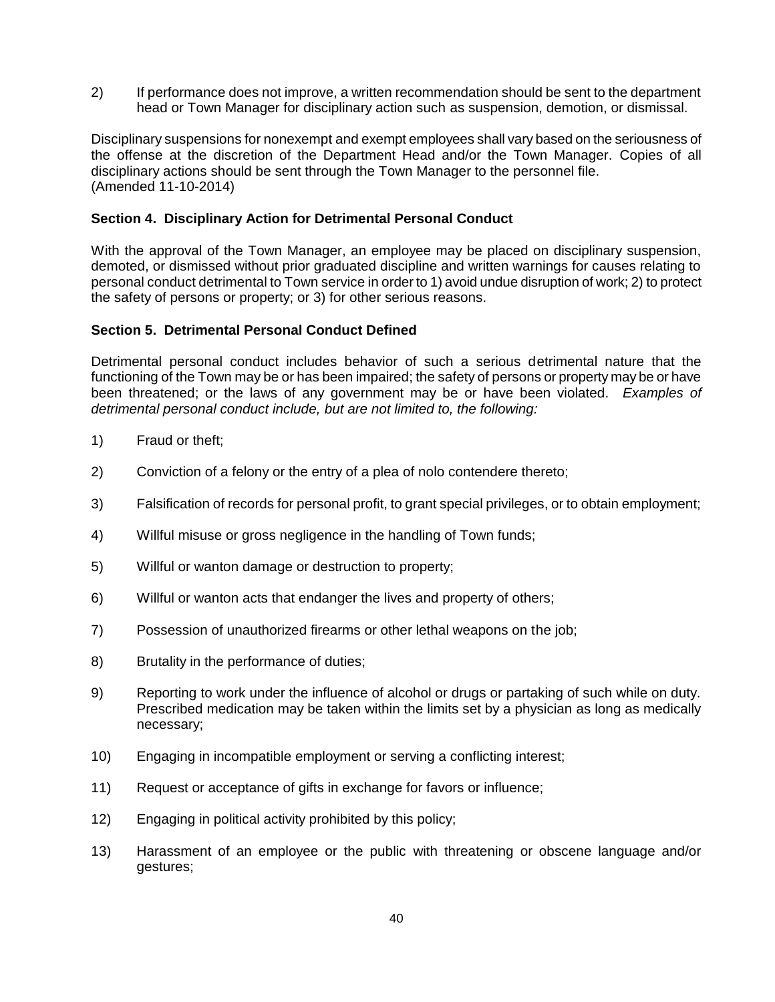2) If performance does not improve, a written recommendation should be sent to the department head or Town Manager for disciplinary action such as suspension, demotion, or dismissal.

Disciplinary suspensions for nonexempt and exempt employees shall vary based on the seriousness of the offense at the discretion of the Department Head and/or the Town Manager. Copies of all disciplinary actions should be sent through the Town Manager to the personnel file. (Amended 11-10-2014)

### **Section 4. Disciplinary Action for Detrimental Personal Conduct**

With the approval of the Town Manager, an employee may be placed on disciplinary suspension, demoted, or dismissed without prior graduated discipline and written warnings for causes relating to personal conduct detrimental to Town service in order to 1) avoid undue disruption of work; 2) to protect the safety of persons or property; or 3) for other serious reasons.

### **Section 5. Detrimental Personal Conduct Defined**

Detrimental personal conduct includes behavior of such a serious detrimental nature that the functioning of the Town may be or has been impaired; the safety of persons or property may be or have been threatened; or the laws of any government may be or have been violated. *Examples of detrimental personal conduct include, but are not limited to, the following:*

- 1) Fraud or theft;
- 2) Conviction of a felony or the entry of a plea of nolo contendere thereto;
- 3) Falsification of records for personal profit, to grant special privileges, or to obtain employment;
- 4) Willful misuse or gross negligence in the handling of Town funds;
- 5) Willful or wanton damage or destruction to property;
- 6) Willful or wanton acts that endanger the lives and property of others;
- 7) Possession of unauthorized firearms or other lethal weapons on the job;
- 8) Brutality in the performance of duties;
- 9) Reporting to work under the influence of alcohol or drugs or partaking of such while on duty. Prescribed medication may be taken within the limits set by a physician as long as medically necessary;
- 10) Engaging in incompatible employment or serving a conflicting interest;
- 11) Request or acceptance of gifts in exchange for favors or influence;
- 12) Engaging in political activity prohibited by this policy;
- 13) Harassment of an employee or the public with threatening or obscene language and/or gestures;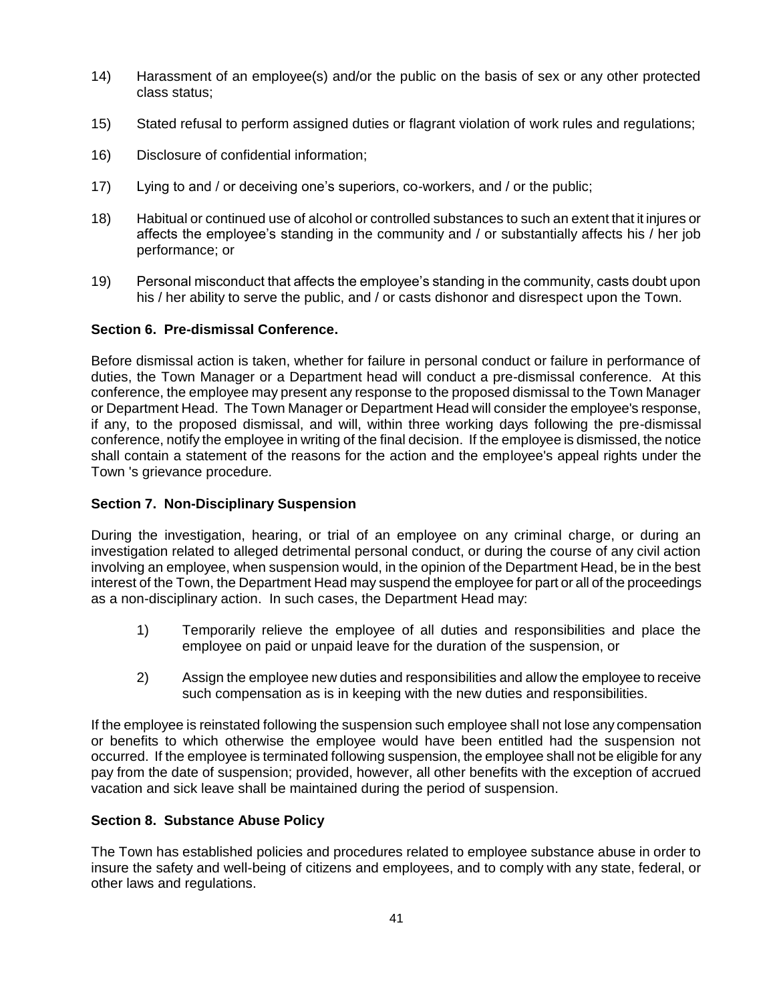- 14) Harassment of an employee(s) and/or the public on the basis of sex or any other protected class status;
- 15) Stated refusal to perform assigned duties or flagrant violation of work rules and regulations;
- 16) Disclosure of confidential information;
- 17) Lying to and / or deceiving one's superiors, co-workers, and / or the public;
- 18) Habitual or continued use of alcohol or controlled substances to such an extent that it injures or affects the employee's standing in the community and / or substantially affects his / her job performance; or
- 19) Personal misconduct that affects the employee's standing in the community, casts doubt upon his / her ability to serve the public, and / or casts dishonor and disrespect upon the Town.

### **Section 6. Pre-dismissal Conference.**

Before dismissal action is taken, whether for failure in personal conduct or failure in performance of duties, the Town Manager or a Department head will conduct a pre-dismissal conference. At this conference, the employee may present any response to the proposed dismissal to the Town Manager or Department Head. The Town Manager or Department Head will consider the employee's response, if any, to the proposed dismissal, and will, within three working days following the pre-dismissal conference, notify the employee in writing of the final decision. If the employee is dismissed, the notice shall contain a statement of the reasons for the action and the employee's appeal rights under the Town 's grievance procedure*.*

### **Section 7. Non-Disciplinary Suspension**

During the investigation, hearing, or trial of an employee on any criminal charge, or during an investigation related to alleged detrimental personal conduct, or during the course of any civil action involving an employee, when suspension would, in the opinion of the Department Head, be in the best interest of the Town, the Department Head may suspend the employee for part or all of the proceedings as a non-disciplinary action. In such cases, the Department Head may:

- 1) Temporarily relieve the employee of all duties and responsibilities and place the employee on paid or unpaid leave for the duration of the suspension, or
- 2) Assign the employee new duties and responsibilities and allow the employee to receive such compensation as is in keeping with the new duties and responsibilities.

If the employee is reinstated following the suspension such employee shall not lose any compensation or benefits to which otherwise the employee would have been entitled had the suspension not occurred. If the employee is terminated following suspension, the employee shall not be eligible for any pay from the date of suspension; provided, however, all other benefits with the exception of accrued vacation and sick leave shall be maintained during the period of suspension.

### **Section 8. Substance Abuse Policy**

The Town has established policies and procedures related to employee substance abuse in order to insure the safety and well-being of citizens and employees, and to comply with any state, federal, or other laws and regulations.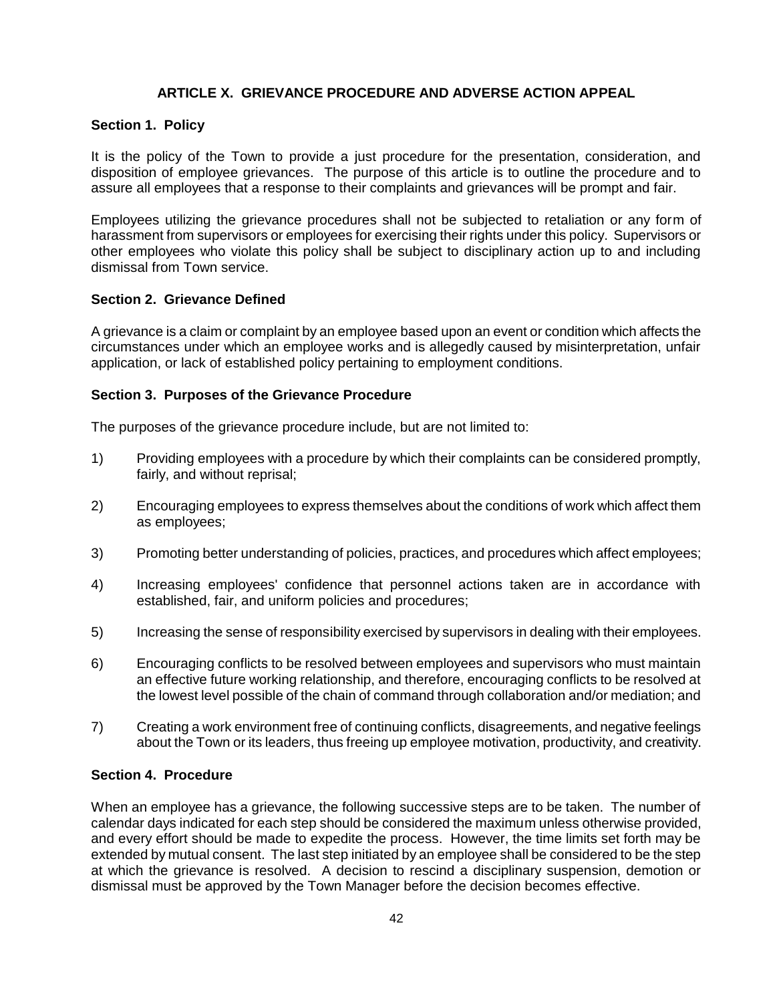## **ARTICLE X. GRIEVANCE PROCEDURE AND ADVERSE ACTION APPEAL**

#### **Section 1. Policy**

It is the policy of the Town to provide a just procedure for the presentation, consideration, and disposition of employee grievances. The purpose of this article is to outline the procedure and to assure all employees that a response to their complaints and grievances will be prompt and fair.

Employees utilizing the grievance procedures shall not be subjected to retaliation or any form of harassment from supervisors or employees for exercising their rights under this policy. Supervisors or other employees who violate this policy shall be subject to disciplinary action up to and including dismissal from Town service.

### **Section 2. Grievance Defined**

A grievance is a claim or complaint by an employee based upon an event or condition which affects the circumstances under which an employee works and is allegedly caused by misinterpretation, unfair application, or lack of established policy pertaining to employment conditions.

#### **Section 3. Purposes of the Grievance Procedure**

The purposes of the grievance procedure include, but are not limited to:

- 1) Providing employees with a procedure by which their complaints can be considered promptly, fairly, and without reprisal;
- 2) Encouraging employees to express themselves about the conditions of work which affect them as employees;
- 3) Promoting better understanding of policies, practices, and procedures which affect employees;
- 4) Increasing employees' confidence that personnel actions taken are in accordance with established, fair, and uniform policies and procedures;
- 5) Increasing the sense of responsibility exercised by supervisors in dealing with their employees.
- 6) Encouraging conflicts to be resolved between employees and supervisors who must maintain an effective future working relationship, and therefore, encouraging conflicts to be resolved at the lowest level possible of the chain of command through collaboration and/or mediation; and
- 7) Creating a work environment free of continuing conflicts, disagreements, and negative feelings about the Town or its leaders, thus freeing up employee motivation, productivity, and creativity.

#### **Section 4. Procedure**

When an employee has a grievance, the following successive steps are to be taken. The number of calendar days indicated for each step should be considered the maximum unless otherwise provided, and every effort should be made to expedite the process. However, the time limits set forth may be extended by mutual consent. The last step initiated by an employee shall be considered to be the step at which the grievance is resolved. A decision to rescind a disciplinary suspension, demotion or dismissal must be approved by the Town Manager before the decision becomes effective.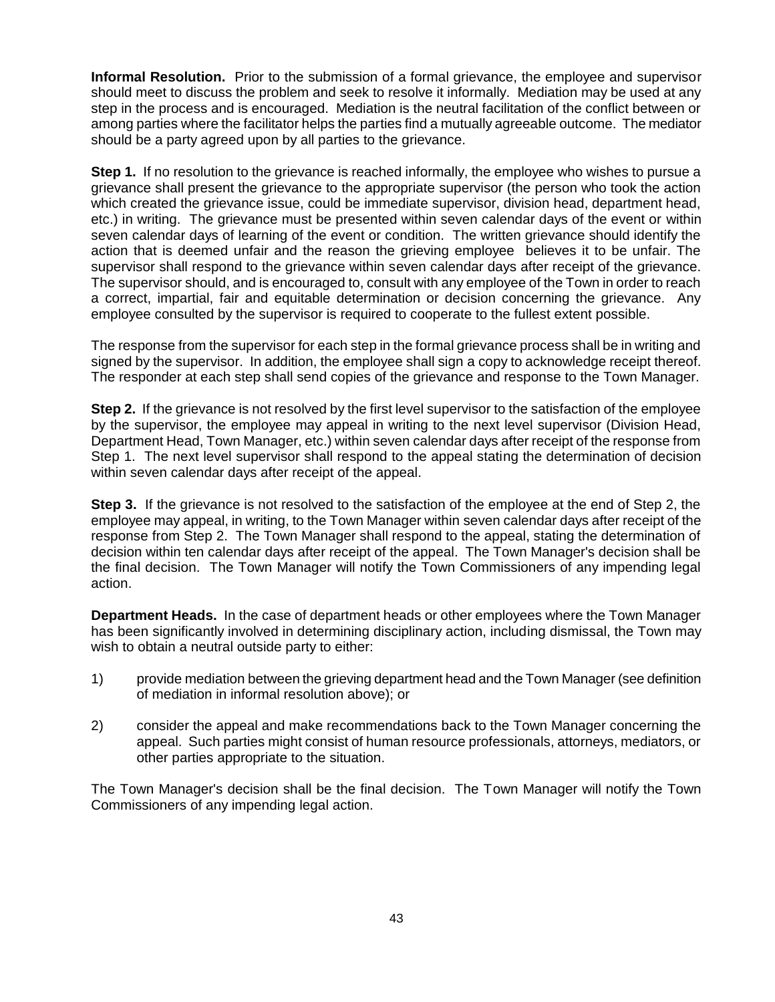**Informal Resolution.** Prior to the submission of a formal grievance, the employee and supervisor should meet to discuss the problem and seek to resolve it informally. Mediation may be used at any step in the process and is encouraged. Mediation is the neutral facilitation of the conflict between or among parties where the facilitator helps the parties find a mutually agreeable outcome. The mediator should be a party agreed upon by all parties to the grievance.

**Step 1.** If no resolution to the grievance is reached informally, the employee who wishes to pursue a grievance shall present the grievance to the appropriate supervisor (the person who took the action which created the grievance issue, could be immediate supervisor, division head, department head, etc.) in writing. The grievance must be presented within seven calendar days of the event or within seven calendar days of learning of the event or condition. The written grievance should identify the action that is deemed unfair and the reason the grieving employee believes it to be unfair. The supervisor shall respond to the grievance within seven calendar days after receipt of the grievance. The supervisor should, and is encouraged to, consult with any employee of the Town in order to reach a correct, impartial, fair and equitable determination or decision concerning the grievance. Any employee consulted by the supervisor is required to cooperate to the fullest extent possible.

The response from the supervisor for each step in the formal grievance process shall be in writing and signed by the supervisor. In addition, the employee shall sign a copy to acknowledge receipt thereof. The responder at each step shall send copies of the grievance and response to the Town Manager.

**Step 2.** If the grievance is not resolved by the first level supervisor to the satisfaction of the employee by the supervisor, the employee may appeal in writing to the next level supervisor (Division Head, Department Head, Town Manager, etc.) within seven calendar days after receipt of the response from Step 1. The next level supervisor shall respond to the appeal stating the determination of decision within seven calendar days after receipt of the appeal.

**Step 3.** If the grievance is not resolved to the satisfaction of the employee at the end of Step 2, the employee may appeal, in writing, to the Town Manager within seven calendar days after receipt of the response from Step 2. The Town Manager shall respond to the appeal, stating the determination of decision within ten calendar days after receipt of the appeal. The Town Manager's decision shall be the final decision. The Town Manager will notify the Town Commissioners of any impending legal action.

**Department Heads.** In the case of department heads or other employees where the Town Manager has been significantly involved in determining disciplinary action, including dismissal, the Town may wish to obtain a neutral outside party to either:

- 1) provide mediation between the grieving department head and the Town Manager (see definition of mediation in informal resolution above); or
- 2) consider the appeal and make recommendations back to the Town Manager concerning the appeal. Such parties might consist of human resource professionals, attorneys, mediators, or other parties appropriate to the situation.

The Town Manager's decision shall be the final decision. The Town Manager will notify the Town Commissioners of any impending legal action.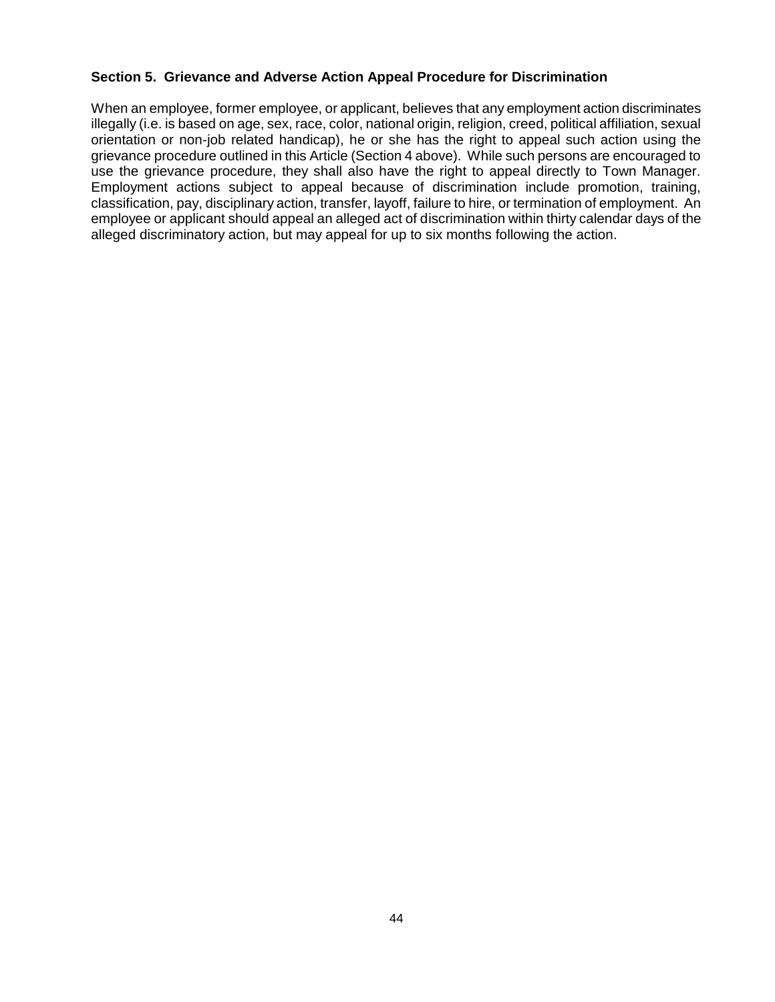## **Section 5. Grievance and Adverse Action Appeal Procedure for Discrimination**

When an employee, former employee, or applicant, believes that any employment action discriminates illegally (i.e. is based on age, sex, race, color, national origin, religion, creed, political affiliation, sexual orientation or non-job related handicap), he or she has the right to appeal such action using the grievance procedure outlined in this Article (Section 4 above). While such persons are encouraged to use the grievance procedure, they shall also have the right to appeal directly to Town Manager. Employment actions subject to appeal because of discrimination include promotion, training, classification, pay, disciplinary action, transfer, layoff, failure to hire, or termination of employment. An employee or applicant should appeal an alleged act of discrimination within thirty calendar days of the alleged discriminatory action, but may appeal for up to six months following the action.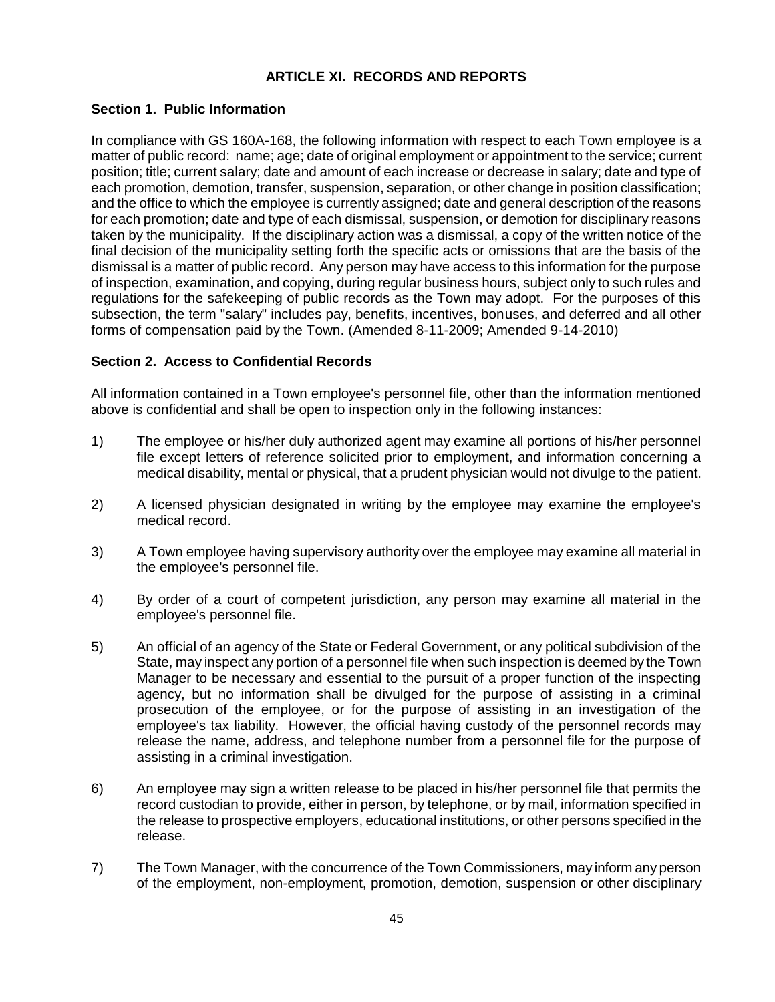# **ARTICLE XI. RECORDS AND REPORTS**

## **Section 1. Public Information**

In compliance with GS 160A-168, the following information with respect to each Town employee is a matter of public record: name; age; date of original employment or appointment to the service; current position; title; current salary; date and amount of each increase or decrease in salary; date and type of each promotion, demotion, transfer, suspension, separation, or other change in position classification; and the office to which the employee is currently assigned; date and general description of the reasons for each promotion; date and type of each dismissal, suspension, or demotion for disciplinary reasons taken by the municipality. If the disciplinary action was a dismissal, a copy of the written notice of the final decision of the municipality setting forth the specific acts or omissions that are the basis of the dismissal is a matter of public record. Any person may have access to this information for the purpose of inspection, examination, and copying, during regular business hours, subject only to such rules and regulations for the safekeeping of public records as the Town may adopt. For the purposes of this subsection, the term "salary" includes pay, benefits, incentives, bonuses, and deferred and all other forms of compensation paid by the Town. (Amended 8-11-2009; Amended 9-14-2010)

## **Section 2. Access to Confidential Records**

All information contained in a Town employee's personnel file, other than the information mentioned above is confidential and shall be open to inspection only in the following instances:

- 1) The employee or his/her duly authorized agent may examine all portions of his/her personnel file except letters of reference solicited prior to employment, and information concerning a medical disability, mental or physical, that a prudent physician would not divulge to the patient.
- 2) A licensed physician designated in writing by the employee may examine the employee's medical record.
- 3) A Town employee having supervisory authority over the employee may examine all material in the employee's personnel file.
- 4) By order of a court of competent jurisdiction, any person may examine all material in the employee's personnel file.
- 5) An official of an agency of the State or Federal Government, or any political subdivision of the State, may inspect any portion of a personnel file when such inspection is deemed by the Town Manager to be necessary and essential to the pursuit of a proper function of the inspecting agency, but no information shall be divulged for the purpose of assisting in a criminal prosecution of the employee, or for the purpose of assisting in an investigation of the employee's tax liability. However, the official having custody of the personnel records may release the name, address, and telephone number from a personnel file for the purpose of assisting in a criminal investigation.
- 6) An employee may sign a written release to be placed in his/her personnel file that permits the record custodian to provide, either in person, by telephone, or by mail, information specified in the release to prospective employers, educational institutions, or other persons specified in the release.
- 7) The Town Manager, with the concurrence of the Town Commissioners, may inform any person of the employment, non-employment, promotion, demotion, suspension or other disciplinary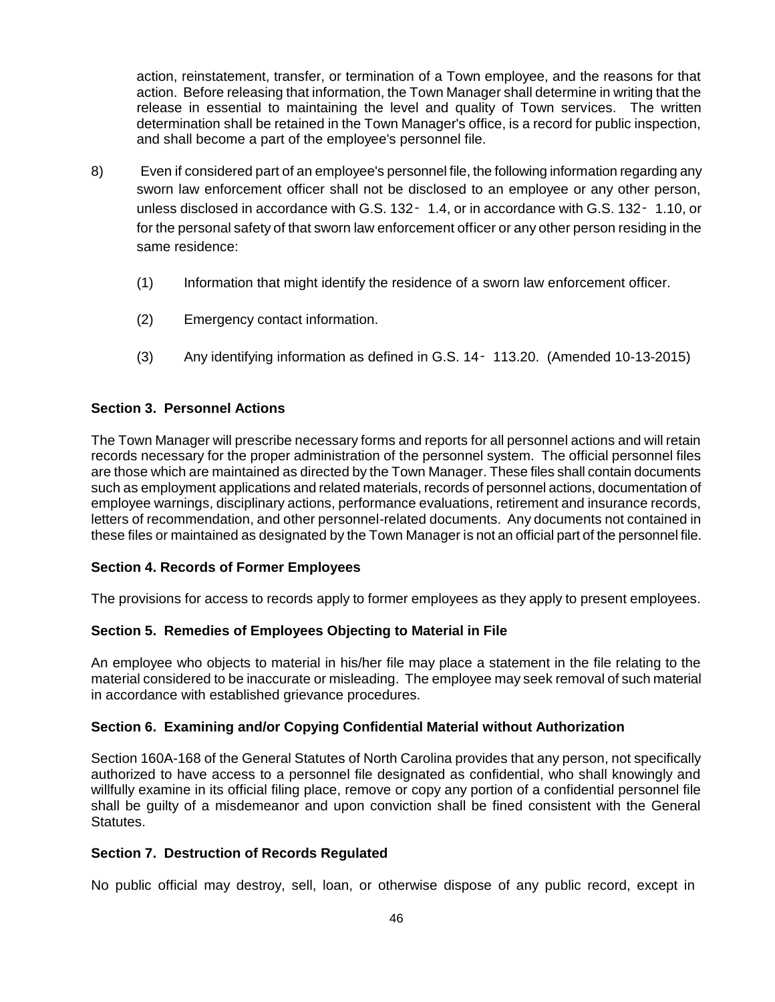action, reinstatement, transfer, or termination of a Town employee, and the reasons for that action. Before releasing that information, the Town Manager shall determine in writing that the release in essential to maintaining the level and quality of Town services. The written determination shall be retained in the Town Manager's office, is a record for public inspection, and shall become a part of the employee's personnel file.

- 8) Even if considered part of an employee's personnel file, the following information regarding any sworn law enforcement officer shall not be disclosed to an employee or any other person, unless disclosed in accordance with G.S. 132 - 1.4, or in accordance with G.S. 132 - 1.10, or for the personal safety of that sworn law enforcement officer or any other person residing in the same residence:
	- (1) Information that might identify the residence of a sworn law enforcement officer.
	- (2) Emergency contact information.
	- (3) Any identifying information as defined in G.S. 14‑ 113.20. (Amended 10-13-2015)

#### **Section 3. Personnel Actions**

The Town Manager will prescribe necessary forms and reports for all personnel actions and will retain records necessary for the proper administration of the personnel system. The official personnel files are those which are maintained as directed by the Town Manager. These files shall contain documents such as employment applications and related materials, records of personnel actions, documentation of employee warnings, disciplinary actions, performance evaluations, retirement and insurance records, letters of recommendation, and other personnel-related documents. Any documents not contained in these files or maintained as designated by the Town Manager is not an official part of the personnel file.

### **Section 4. Records of Former Employees**

The provisions for access to records apply to former employees as they apply to present employees.

### **Section 5. Remedies of Employees Objecting to Material in File**

An employee who objects to material in his/her file may place a statement in the file relating to the material considered to be inaccurate or misleading. The employee may seek removal of such material in accordance with established grievance procedures.

#### **Section 6. Examining and/or Copying Confidential Material without Authorization**

Section 160A-168 of the General Statutes of North Carolina provides that any person, not specifically authorized to have access to a personnel file designated as confidential, who shall knowingly and willfully examine in its official filing place, remove or copy any portion of a confidential personnel file shall be guilty of a misdemeanor and upon conviction shall be fined consistent with the General Statutes.

#### **Section 7. Destruction of Records Regulated**

No public official may destroy, sell, loan, or otherwise dispose of any public record, except in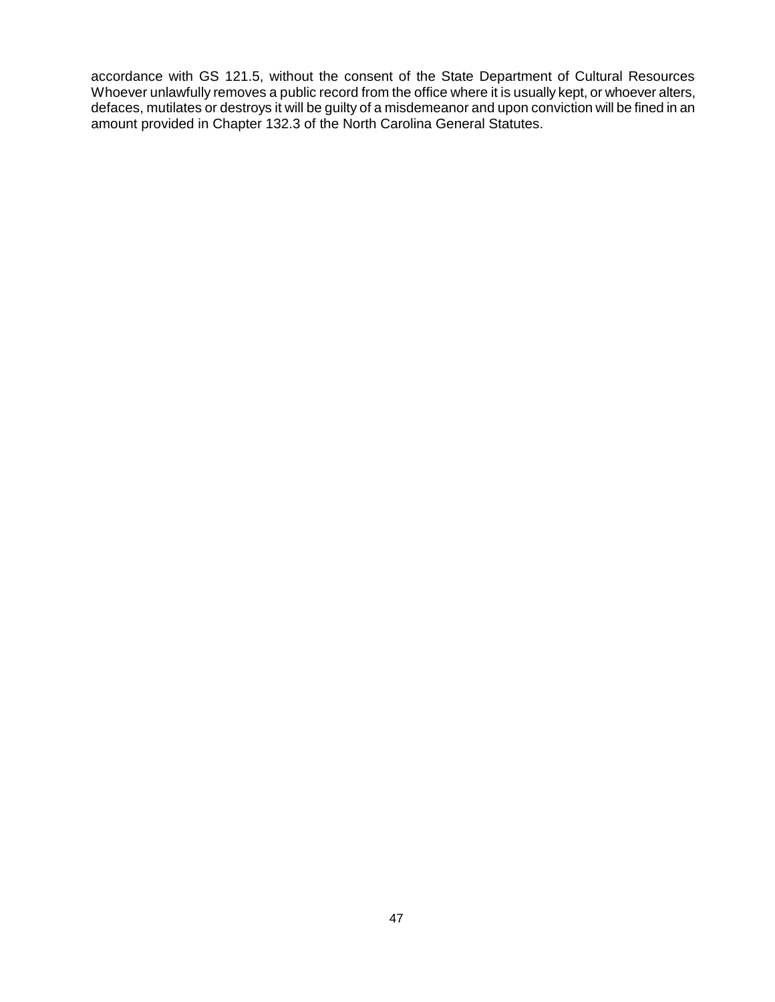accordance with GS 121.5, without the consent of the State Department of Cultural Resources Whoever unlawfully removes a public record from the office where it is usually kept, or whoever alters, defaces, mutilates or destroys it will be guilty of a misdemeanor and upon conviction will be fined in an amount provided in Chapter 132.3 of the North Carolina General Statutes.